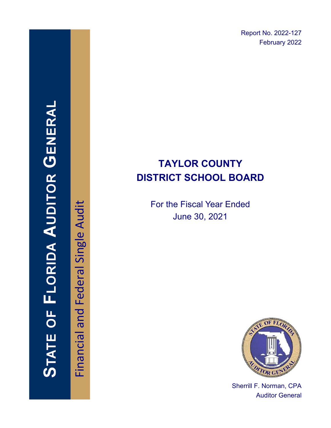Report No. 2022-127 February 2022

# **TAYLOR COUNTY DISTRICT SCHOOL BOARD**

For the Fiscal Year Ended June 30, 2021



Sherrill F. Norman, CPA Auditor General

STATE OF FLORIDA AUDITOR GENERAI

Financial and Federal Single Audit Financial and Federal Single Audit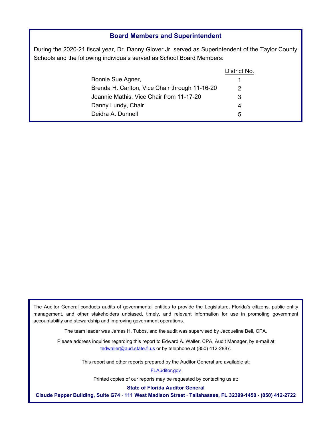#### **Board Members and Superintendent**

During the 2020-21 fiscal year, Dr. Danny Glover Jr. served as Superintendent of the Taylor County Schools and the following individuals served as School Board Members:

|                                                | District No. |
|------------------------------------------------|--------------|
| Bonnie Sue Agner,                              |              |
| Brenda H. Carlton, Vice Chair through 11-16-20 | 2            |
| Jeannie Mathis, Vice Chair from 11-17-20       | 3            |
| Danny Lundy, Chair                             |              |
| Deidra A. Dunnell                              | 5            |

The Auditor General conducts audits of governmental entities to provide the Legislature, Florida's citizens, public entity management, and other stakeholders unbiased, timely, and relevant information for use in promoting government accountability and stewardship and improving government operations.

The team leader was James H. Tubbs, and the audit was supervised by Jacqueline Bell, CPA.

Please address inquiries regarding this report to Edward A. Waller, CPA, Audit Manager, by e-mail at [tedwaller@aud.state.fl.us](mailto:tedwaller@aud.state.fl.us) or by telephone at (850) 412-2887.

This report and other reports prepared by the Auditor General are available at:

[FLAuditor.gov](https://flauditor.gov/)

Printed copies of our reports may be requested by contacting us at:

**State of Florida Auditor General**

**Claude Pepper Building, Suite G74 ∙ 111 West Madison Street ∙ Tallahassee, FL 32399-1450 ∙ (850) 412-2722**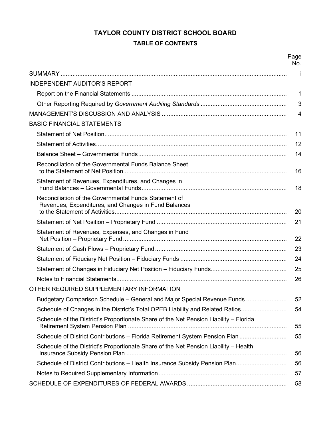# **TAYLOR COUNTY DISTRICT SCHOOL BOARD TABLE OF CONTENTS**

|                                                                                                               | Page<br>No. |
|---------------------------------------------------------------------------------------------------------------|-------------|
|                                                                                                               |             |
| <b>INDEPENDENT AUDITOR'S REPORT</b>                                                                           |             |
|                                                                                                               | $\mathbf 1$ |
|                                                                                                               | 3           |
|                                                                                                               | 4           |
| <b>BASIC FINANCIAL STATEMENTS</b>                                                                             |             |
|                                                                                                               | 11          |
|                                                                                                               | 12          |
|                                                                                                               | 14          |
| Reconciliation of the Governmental Funds Balance Sheet                                                        | 16          |
| Statement of Revenues, Expenditures, and Changes in                                                           | 18          |
| Reconciliation of the Governmental Funds Statement of<br>Revenues, Expenditures, and Changes in Fund Balances | 20          |
|                                                                                                               | 21          |
| Statement of Revenues, Expenses, and Changes in Fund                                                          | 22          |
|                                                                                                               | 23          |
|                                                                                                               | 24          |
|                                                                                                               | 25          |
|                                                                                                               | 26          |
| OTHER REQUIRED SUPPLEMENTARY INFORMATION                                                                      |             |
| Budgetary Comparison Schedule – General and Major Special Revenue Funds                                       | 52          |
| Schedule of Changes in the District's Total OPEB Liability and Related Ratios                                 | 54          |
| Schedule of the District's Proportionate Share of the Net Pension Liability - Florida                         | 55          |
| Schedule of District Contributions - Florida Retirement System Pension Plan                                   | 55          |
| Schedule of the District's Proportionate Share of the Net Pension Liability - Health                          | 56          |
| Schedule of District Contributions - Health Insurance Subsidy Pension Plan                                    | 56          |
|                                                                                                               | 57          |
|                                                                                                               | 58          |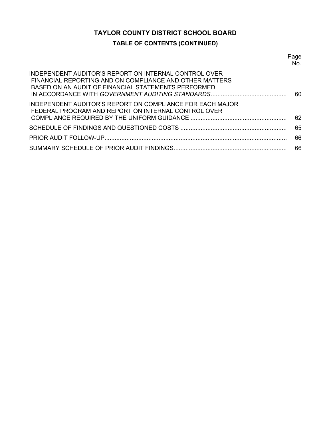# **TAYLOR COUNTY DISTRICT SCHOOL BOARD**

# **TABLE OF CONTENTS (CONTINUED)**

Page No.

| INDEPENDENT AUDITOR'S REPORT ON INTERNAL CONTROL OVER<br>FINANCIAL REPORTING AND ON COMPLIANCE AND OTHER MATTERS<br>BASED ON AN AUDIT OF FINANCIAL STATEMENTS PERFORMED | 60   |
|-------------------------------------------------------------------------------------------------------------------------------------------------------------------------|------|
| INDEPENDENT AUDITOR'S REPORT ON COMPLIANCE FOR EACH MAJOR<br>FEDERAL PROGRAM AND REPORT ON INTERNAL CONTROL OVER                                                        | - 62 |
|                                                                                                                                                                         | 65   |
|                                                                                                                                                                         | 66   |
|                                                                                                                                                                         | 66   |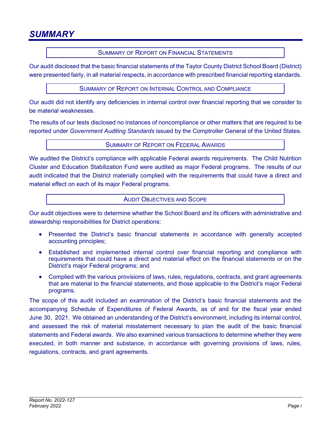#### SUMMARY OF REPORT ON FINANCIAL STATEMENTS

<span id="page-4-0"></span>Our audit disclosed that the basic financial statements of the Taylor County District School Board (District) were presented fairly, in all material respects, in accordance with prescribed financial reporting standards.

#### SUMMARY OF REPORT ON INTERNAL CONTROL AND COMPLIANCE

Our audit did not identify any deficiencies in internal control over financial reporting that we consider to be material weaknesses.

The results of our tests disclosed no instances of noncompliance or other matters that are required to be reported under *Government Auditing Standards* issued by the Comptroller General of the United States*.* 

#### SUMMARY OF REPORT ON FEDERAL AWARDS

We audited the District's compliance with applicable Federal awards requirements. The Child Nutrition Cluster and Education Stabilization Fund were audited as major Federal programs. The results of our audit indicated that the District materially complied with the requirements that could have a direct and material effect on each of its major Federal programs.

#### AUDIT OBJECTIVES AND SCOPE

Our audit objectives were to determine whether the School Board and its officers with administrative and stewardship responsibilities for District operations:

- Presented the District's basic financial statements in accordance with generally accepted accounting principles;
- Established and implemented internal control over financial reporting and compliance with requirements that could have a direct and material effect on the financial statements or on the District's major Federal programs; and
- Complied with the various provisions of laws, rules, regulations, contracts, and grant agreements that are material to the financial statements, and those applicable to the District's major Federal programs.

The scope of this audit included an examination of the District's basic financial statements and the accompanying Schedule of Expenditures of Federal Awards, as of and for the fiscal year ended June 30, 2021. We obtained an understanding of the District's environment, including its internal control, and assessed the risk of material misstatement necessary to plan the audit of the basic financial statements and Federal awards. We also examined various transactions to determine whether they were executed, in both manner and substance, in accordance with governing provisions of laws, rules, regulations, contracts, and grant agreements.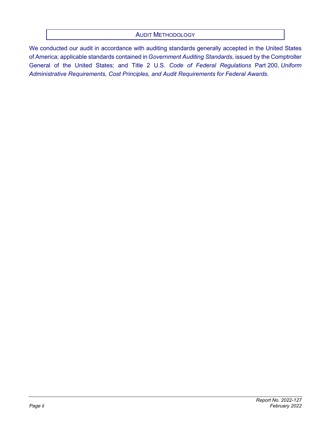#### AUDIT METHODOLOGY

We conducted our audit in accordance with auditing standards generally accepted in the United States of America; applicable standards contained in*Government Auditing Standards*, issued by the Comptroller General of the United States; and Title 2 U.S. *Code of Federal Regulations* Part 200, *Uniform Administrative Requirements, Cost Principles, and Audit Requirements for Federal Awards*.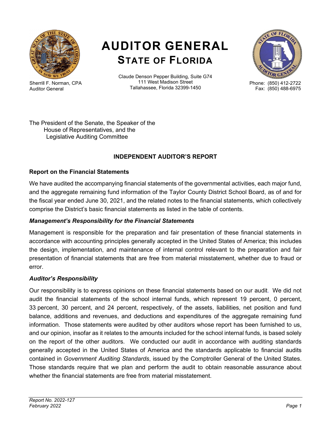<span id="page-6-1"></span>

Sherrill F. Norman, CPA Auditor General

# **AUDITOR GENERAL STATE OF FLORIDA**

Claude Denson Pepper Building, Suite G74 111 West Madison Street Tallahassee, Florida 32399-1450



Phone: (850) 412-2722 Fax: (850) 488-6975

The President of the Senate, the Speaker of the House of Representatives, and the Legislative Auditing Committee

#### **INDEPENDENT AUDITOR'S REPORT**

#### <span id="page-6-0"></span>**Report on the Financial Statements**

We have audited the accompanying financial statements of the governmental activities, each major fund, and the aggregate remaining fund information of the Taylor County District School Board, as of and for the fiscal year ended June 30, 2021, and the related notes to the financial statements, which collectively comprise the District's basic financial statements as listed in the table of contents.

#### *Management's Responsibility for the Financial Statements*

Management is responsible for the preparation and fair presentation of these financial statements in accordance with accounting principles generally accepted in the United States of America; this includes the design, implementation, and maintenance of internal control relevant to the preparation and fair presentation of financial statements that are free from material misstatement, whether due to fraud or error.

#### *Auditor's Responsibility*

Our responsibility is to express opinions on these financial statements based on our audit. We did not audit the financial statements of the school internal funds, which represent 19 percent, 0 percent, 33 percent, 30 percent, and 24 percent, respectively, of the assets, liabilities, net position and fund balance, additions and revenues, and deductions and expenditures of the aggregate remaining fund information. Those statements were audited by other auditors whose report has been furnished to us, and our opinion, insofar as it relates to the amounts included for the school internal funds, is based solely on the report of the other auditors. We conducted our audit in accordance with auditing standards generally accepted in the United States of America and the standards applicable to financial audits contained in *Government Auditing Standards*, issued by the Comptroller General of the United States. Those standards require that we plan and perform the audit to obtain reasonable assurance about whether the financial statements are free from material misstatement.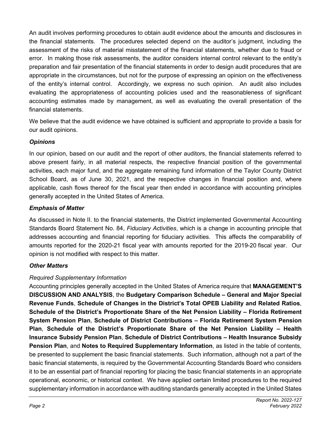An audit involves performing procedures to obtain audit evidence about the amounts and disclosures in the financial statements. The procedures selected depend on the auditor's judgment, including the assessment of the risks of material misstatement of the financial statements, whether due to fraud or error. In making those risk assessments, the auditor considers internal control relevant to the entity's preparation and fair presentation of the financial statements in order to design audit procedures that are appropriate in the circumstances, but not for the purpose of expressing an opinion on the effectiveness of the entity's internal control. Accordingly, we express no such opinion. An audit also includes evaluating the appropriateness of accounting policies used and the reasonableness of significant accounting estimates made by management, as well as evaluating the overall presentation of the financial statements.

We believe that the audit evidence we have obtained is sufficient and appropriate to provide a basis for our audit opinions.

#### *Opinions*

In our opinion, based on our audit and the report of other auditors, the financial statements referred to above present fairly, in all material respects, the respective financial position of the governmental activities, each major fund, and the aggregate remaining fund information of the Taylor County District School Board, as of June 30, 2021, and the respective changes in financial position and, where applicable, cash flows thereof for the fiscal year then ended in accordance with accounting principles generally accepted in the United States of America.

#### *Emphasis of Matter*

As discussed in Note II. to the financial statements, the District implemented Governmental Accounting Standards Board Statement No. 84, *Fiduciary Activities*, which is a change in accounting principle that addresses accounting and financial reporting for fiduciary activities. This affects the comparability of amounts reported for the 2020-21 fiscal year with amounts reported for the 2019-20 fiscal year. Our opinion is not modified with respect to this matter.

#### *Other Matters*

#### *Required Supplementary Information*

Accounting principles generally accepted in the United States of America require that **MANAGEMENT'S DISCUSSION AND ANALYSIS**, the **Budgetary Comparison Schedule – General and Major Special Revenue Funds**, **Schedule of Changes in the District's Total OPEB Liability and Related Ratios**, **Schedule of the District's Proportionate Share of the Net Pension Liability – Florida Retirement System Pension Plan**, **Schedule of District Contributions – Florida Retirement System Pension Plan**, **Schedule of the District's Proportionate Share of the Net Pension Liability – Health Insurance Subsidy Pension Plan**, **Schedule of District Contributions – Health Insurance Subsidy Pension Plan**, and **Notes to Required Supplementary Information**, as listed in the table of contents, be presented to supplement the basic financial statements. Such information, although not a part of the basic financial statements, is required by the Governmental Accounting Standards Board who considers it to be an essential part of financial reporting for placing the basic financial statements in an appropriate operational, economic, or historical context. We have applied certain limited procedures to the required supplementary information in accordance with auditing standards generally accepted in the United States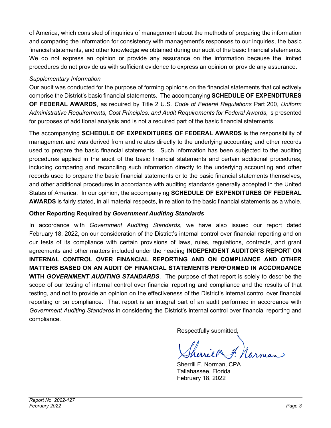<span id="page-8-1"></span>of America, which consisted of inquiries of management about the methods of preparing the information and comparing the information for consistency with management's responses to our inquiries, the basic financial statements, and other knowledge we obtained during our audit of the basic financial statements. We do not express an opinion or provide any assurance on the information because the limited procedures do not provide us with sufficient evidence to express an opinion or provide any assurance.

#### *Supplementary Information*

Our audit was conducted for the purpose of forming opinions on the financial statements that collectively comprise the District's basic financial statements. The accompanying **SCHEDULE OF EXPENDITURES OF FEDERAL AWARDS**, as required by Title 2 U.S. *Code of Federal Regulations* Part 200, *Uniform Administrative Requirements, Cost Principles, and Audit Requirements for Federal Awards*, is presented for purposes of additional analysis and is not a required part of the basic financial statements.

The accompanying **SCHEDULE OF EXPENDITURES OF FEDERAL AWARDS** is the responsibility of management and was derived from and relates directly to the underlying accounting and other records used to prepare the basic financial statements. Such information has been subjected to the auditing procedures applied in the audit of the basic financial statements and certain additional procedures, including comparing and reconciling such information directly to the underlying accounting and other records used to prepare the basic financial statements or to the basic financial statements themselves, and other additional procedures in accordance with auditing standards generally accepted in the United States of America. In our opinion, the accompanying **SCHEDULE OF EXPENDITURES OF FEDERAL AWARDS** is fairly stated, in all material respects, in relation to the basic financial statements as a whole.

#### <span id="page-8-0"></span>**Other Reporting Required by** *Government Auditing Standards*

In accordance with *Government Auditing Standards*, we have also issued our report dated February 18, 2022, on our consideration of the District's internal control over financial reporting and on our tests of its compliance with certain provisions of laws, rules, regulations, contracts, and grant agreements and other matters included under the heading **INDEPENDENT AUDITOR'S REPORT ON INTERNAL CONTROL OVER FINANCIAL REPORTING AND ON COMPLIANCE AND OTHER MATTERS BASED ON AN AUDIT OF FINANCIAL STATEMENTS PERFORMED IN ACCORDANCE WITH** *GOVERNMENT AUDITING STANDARDS*. The purpose of that report is solely to describe the scope of our testing of internal control over financial reporting and compliance and the results of that testing, and not to provide an opinion on the effectiveness of the District's internal control over financial reporting or on compliance. That report is an integral part of an audit performed in accordance with *Government Auditing Standards* in considering the District's internal control over financial reporting and compliance.

Respectfully submitted,

Sherrill F. Norman, CPA Tallahassee, Florida February 18, 2022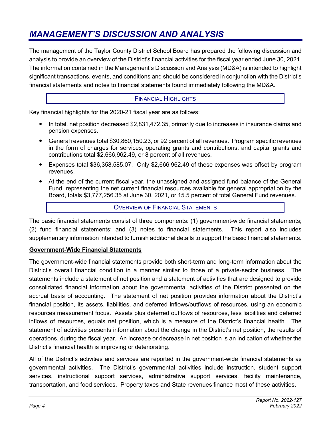# <span id="page-9-1"></span><span id="page-9-0"></span>*MANAGEMENT'S DISCUSSION AND ANALYSIS*

The management of the Taylor County District School Board has prepared the following discussion and analysis to provide an overview of the District's financial activities for the fiscal year ended June 30, 2021. The information contained in the Management's Discussion and Analysis (MD&A) is intended to highlight significant transactions, events, and conditions and should be considered in conjunction with the District's financial statements and notes to financial statements found immediately following the MD&A.

#### FINANCIAL HIGHLIGHTS

Key financial highlights for the 2020-21 fiscal year are as follows:

- In total, net position decreased \$2,831,472.35, primarily due to increases in insurance claims and pension expenses.
- General revenues total \$30,860,150.23, or 92 percent of all revenues. Program specific revenues in the form of charges for services, operating grants and contributions, and capital grants and contributions total \$2,666,962.49, or 8 percent of all revenues.
- Expenses total \$36,358,585.07. Only \$2,666,962.49 of these expenses was offset by program revenues.
- At the end of the current fiscal year, the unassigned and assigned fund balance of the General Fund, representing the net current financial resources available for general appropriation by the Board, totals \$3,777,256.35 at June 30, 2021, or 15.5 percent of total General Fund revenues.

#### OVERVIEW OF FINANCIAL STATEMENTS

The basic financial statements consist of three components: (1) government-wide financial statements; (2) fund financial statements; and (3) notes to financial statements. This report also includes supplementary information intended to furnish additional details to support the basic financial statements.

#### **Government-Wide Financial Statements**

The government-wide financial statements provide both short-term and long-term information about the District's overall financial condition in a manner similar to those of a private-sector business. The statements include a statement of net position and a statement of activities that are designed to provide consolidated financial information about the governmental activities of the District presented on the accrual basis of accounting. The statement of net position provides information about the District's financial position, its assets, liabilities, and deferred inflows/outflows of resources, using an economic resources measurement focus. Assets plus deferred outflows of resources, less liabilities and deferred inflows of resources, equals net position, which is a measure of the District's financial health. The statement of activities presents information about the change in the District's net position, the results of operations, during the fiscal year. An increase or decrease in net position is an indication of whether the District's financial health is improving or deteriorating.

All of the District's activities and services are reported in the government-wide financial statements as governmental activities. The District's governmental activities include instruction, student support services, instructional support services, administrative support services, facility maintenance, transportation, and food services. Property taxes and State revenues finance most of these activities.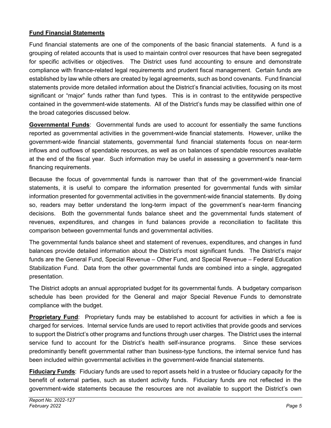#### **Fund Financial Statements**

Fund financial statements are one of the components of the basic financial statements. A fund is a grouping of related accounts that is used to maintain control over resources that have been segregated for specific activities or objectives. The District uses fund accounting to ensure and demonstrate compliance with finance-related legal requirements and prudent fiscal management. Certain funds are established by law while others are created by legal agreements, such as bond covenants. Fund financial statements provide more detailed information about the District's financial activities, focusing on its most significant or "major" funds rather than fund types. This is in contrast to the entitywide perspective contained in the government-wide statements. All of the District's funds may be classified within one of the broad categories discussed below.

**Governmental Funds**: Governmental funds are used to account for essentially the same functions reported as governmental activities in the government-wide financial statements. However, unlike the government-wide financial statements, governmental fund financial statements focus on near-term inflows and outflows of spendable resources, as well as on balances of spendable resources available at the end of the fiscal year. Such information may be useful in assessing a government's near-term financing requirements.

Because the focus of governmental funds is narrower than that of the government-wide financial statements, it is useful to compare the information presented for governmental funds with similar information presented for governmental activities in the government-wide financial statements. By doing so, readers may better understand the long-term impact of the government's near-term financing decisions. Both the governmental funds balance sheet and the governmental funds statement of revenues, expenditures, and changes in fund balances provide a reconciliation to facilitate this comparison between governmental funds and governmental activities.

The governmental funds balance sheet and statement of revenues, expenditures, and changes in fund balances provide detailed information about the District's most significant funds. The District's major funds are the General Fund, Special Revenue – Other Fund, and Special Revenue – Federal Education Stabilization Fund. Data from the other governmental funds are combined into a single, aggregated presentation.

The District adopts an annual appropriated budget for its governmental funds. A budgetary comparison schedule has been provided for the General and major Special Revenue Funds to demonstrate compliance with the budget.

**Proprietary Fund**: Proprietary funds may be established to account for activities in which a fee is charged for services. Internal service funds are used to report activities that provide goods and services to support the District's other programs and functions through user charges. The District uses the internal service fund to account for the District's health self-insurance programs. Since these services predominantly benefit governmental rather than business-type functions, the internal service fund has been included within governmental activities in the government-wide financial statements.

**Fiduciary Funds**: Fiduciary funds are used to report assets held in a trustee or fiduciary capacity for the benefit of external parties, such as student activity funds. Fiduciary funds are not reflected in the government-wide statements because the resources are not available to support the District's own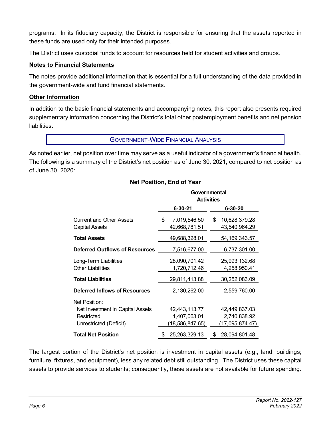programs. In its fiduciary capacity, the District is responsible for ensuring that the assets reported in these funds are used only for their intended purposes.

The District uses custodial funds to account for resources held for student activities and groups.

#### **Notes to Financial Statements**

The notes provide additional information that is essential for a full understanding of the data provided in the government-wide and fund financial statements.

#### **Other Information**

In addition to the basic financial statements and accompanying notes, this report also presents required supplementary information concerning the District's total other postemployment benefits and net pension liabilities.

GOVERNMENT-WIDE FINANCIAL ANALYSIS

As noted earlier, net position over time may serve as a useful indicator of a government's financial health. The following is a summary of the District's net position as of June 30, 2021, compared to net position as of June 30, 2020:

|                                                                                           | Governmental<br><b>Activities</b>                  |                                                  |  |  |  |  |  |
|-------------------------------------------------------------------------------------------|----------------------------------------------------|--------------------------------------------------|--|--|--|--|--|
|                                                                                           | $6 - 30 - 21$                                      | $6 - 30 - 20$                                    |  |  |  |  |  |
| <b>Current and Other Assets</b><br><b>Capital Assets</b>                                  | \$<br>7,019,546.50<br>42,668,781.51                | \$<br>10,628,379.28<br>43,540,964.29             |  |  |  |  |  |
| <b>Total Assets</b>                                                                       | 49,688,328.01                                      | 54, 169, 343. 57                                 |  |  |  |  |  |
| <b>Deferred Outflows of Resources</b>                                                     | 7,516,677.00                                       | 6,737,301.00                                     |  |  |  |  |  |
| Long-Term Liabilities<br><b>Other Liabilities</b>                                         | 28,090,701.42<br>1,720,712.46                      | 25,993,132.68<br>4,258,950.41                    |  |  |  |  |  |
| <b>Total Liabilities</b>                                                                  | 29,811,413.88                                      | 30,252,083.09                                    |  |  |  |  |  |
| <b>Deferred Inflows of Resources</b>                                                      | 2,130,262.00                                       | 2,559,760.00                                     |  |  |  |  |  |
| Net Position:<br>Net Investment in Capital Assets<br>Restricted<br>Unrestricted (Deficit) | 42,443,113.77<br>1,407,063.01<br>(18, 586, 847.65) | 42,449,837.03<br>2,740,838.92<br>(17,095,874.47) |  |  |  |  |  |
| <b>Total Net Position</b>                                                                 | \$<br>25, 263, 329. 13                             | 28,094,801.48<br>\$                              |  |  |  |  |  |

#### **Net Position, End of Year**

The largest portion of the District's net position is investment in capital assets (e.g., land; buildings; furniture, fixtures, and equipment), less any related debt still outstanding. The District uses these capital assets to provide services to students; consequently, these assets are not available for future spending.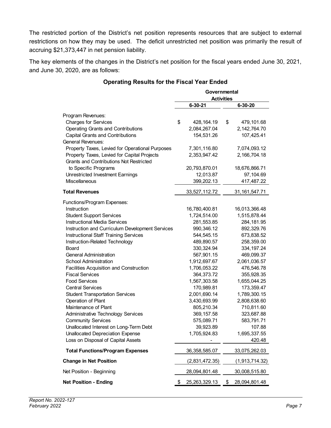The restricted portion of the District's net position represents resources that are subject to external restrictions on how they may be used. The deficit unrestricted net position was primarily the result of accruing \$21,373,447 in net pension liability.

The key elements of the changes in the District's net position for the fiscal years ended June 30, 2021, and June 30, 2020, are as follows:

|                                                 | Governmental      |                  |    |                  |  |
|-------------------------------------------------|-------------------|------------------|----|------------------|--|
|                                                 | <b>Activities</b> |                  |    |                  |  |
|                                                 |                   | $6 - 30 - 21$    |    | 6-30-20          |  |
| Program Revenues:                               |                   |                  |    |                  |  |
| <b>Charges for Services</b>                     | \$                | 428, 164. 19     | \$ | 479,101.68       |  |
| Operating Grants and Contributions              |                   | 2,084,267.04     |    | 2, 142, 764. 70  |  |
| Capital Grants and Contributions                |                   | 154,531.26       |    | 107,425.41       |  |
| <b>General Revenues:</b>                        |                   |                  |    |                  |  |
| Property Taxes, Levied for Operational Purposes |                   | 7,301,116.80     |    | 7,074,093.12     |  |
| Property Taxes, Levied for Capital Projects     |                   | 2,353,947.42     |    | 2,166,704.18     |  |
| Grants and Contributions Not Restricted         |                   |                  |    |                  |  |
| to Specific Programs                            |                   | 20,793,870.01    |    | 18,676,866.71    |  |
| Unrestricted Investment Earnings                |                   | 12,013.87        |    | 97,104.69        |  |
| Miscellaneous                                   |                   | 399,202.13       |    | 417,487.22       |  |
| <b>Total Revenues</b>                           |                   | 33,527,112.72    |    | 31, 161, 547. 71 |  |
| Functions/Program Expenses:                     |                   |                  |    |                  |  |
| Instruction                                     |                   | 16,780,400.81    |    | 16,013,366.48    |  |
| <b>Student Support Services</b>                 |                   | 1,724,514.00     |    | 1,515,878.44     |  |
| <b>Instructional Media Services</b>             |                   | 281,553.85       |    | 284,181.95       |  |
| Instruction and Curriculum Development Services |                   | 990,346.12       |    | 892,329.76       |  |
| <b>Instructional Staff Training Services</b>    |                   | 544,545.15       |    | 673,838.52       |  |
| Instruction-Related Technology                  |                   | 489,890.57       |    | 258,359.00       |  |
| Board                                           |                   | 330,324.94       |    | 334, 197.24      |  |
| <b>General Administration</b>                   |                   | 567,901.15       |    | 469,099.37       |  |
| School Administration                           |                   | 1,912,697.67     |    | 2,061,036.57     |  |
| Facilities Acquisition and Construction         |                   | 1,706,053.22     |    | 476,546.78       |  |
| <b>Fiscal Services</b>                          |                   | 364,373.72       |    | 355,928.35       |  |
| <b>Food Services</b>                            |                   | 1,567,303.58     |    | 1,655,044.25     |  |
| <b>Central Services</b>                         |                   | 170,989.81       |    | 173,359.47       |  |
| <b>Student Transportation Services</b>          |                   | 2,001,690.14     |    | 1,789,300.15     |  |
| Operation of Plant                              |                   | 3,430,693.99     |    | 2,808,638.60     |  |
| Maintenance of Plant                            |                   | 805,210.34       |    | 710,811.60       |  |
| Administrative Technology Services              |                   | 369, 157.58      |    | 323,687.88       |  |
| <b>Community Services</b>                       |                   | 575,089.71       |    | 583,791.71       |  |
| Unallocated Interest on Long-Term Debt          |                   | 39,923.89        |    | 107.88           |  |
| <b>Unallocated Depreciation Expense</b>         |                   | 1,705,924.83     |    | 1,695,337.55     |  |
| Loss on Disposal of Capital Assets              |                   |                  |    | 420.48           |  |
| <b>Total Functions/Program Expenses</b>         |                   | 36,358,585.07    |    | 33,075,262.03    |  |
| <b>Change in Net Position</b>                   |                   | (2,831,472.35)   |    | (1,913,714.32)   |  |
| Net Position - Beginning                        |                   | 28,094,801.48    |    | 30,008,515.80    |  |
| <b>Net Position - Ending</b>                    | \$                | 25, 263, 329. 13 | \$ | 28,094,801.48    |  |

#### **Operating Results for the Fiscal Year Ended**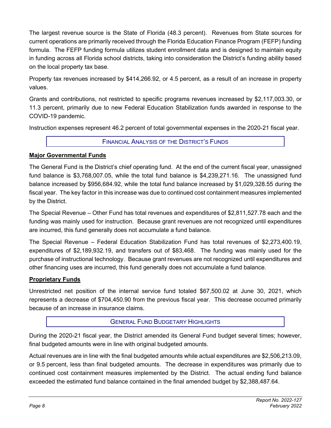The largest revenue source is the State of Florida (48.3 percent). Revenues from State sources for current operations are primarily received through the Florida Education Finance Program (FEFP) funding formula. The FEFP funding formula utilizes student enrollment data and is designed to maintain equity in funding across all Florida school districts, taking into consideration the District's funding ability based on the local property tax base.

Property tax revenues increased by \$414,266.92, or 4.5 percent, as a result of an increase in property values.

Grants and contributions, not restricted to specific programs revenues increased by \$2,117,003.30, or 11.3 percent, primarily due to new Federal Education Stabilization funds awarded in response to the COVID-19 pandemic.

Instruction expenses represent 46.2 percent of total governmental expenses in the 2020-21 fiscal year.

FINANCIAL ANALYSIS OF THE DISTRICT'S FUNDS

#### **Major Governmental Funds**

The General Fund is the District's chief operating fund. At the end of the current fiscal year, unassigned fund balance is \$3,768,007.05, while the total fund balance is \$4,239,271.16. The unassigned fund balance increased by \$956,684.92, while the total fund balance increased by \$1,029,328.55 during the fiscal year. The key factor in this increase was due to continued cost containment measures implemented by the District.

The Special Revenue – Other Fund has total revenues and expenditures of \$2,811,527.78 each and the funding was mainly used for instruction. Because grant revenues are not recognized until expenditures are incurred, this fund generally does not accumulate a fund balance.

The Special Revenue – Federal Education Stabilization Fund has total revenues of \$2,273,400.19, expenditures of \$2,189,932.19, and transfers out of \$83,468. The funding was mainly used for the purchase of instructional technology. Because grant revenues are not recognized until expenditures and other financing uses are incurred, this fund generally does not accumulate a fund balance.

#### **Proprietary Funds**

Unrestricted net position of the internal service fund totaled \$67,500.02 at June 30, 2021, which represents a decrease of \$704,450.90 from the previous fiscal year. This decrease occurred primarily because of an increase in insurance claims.

#### GENERAL FUND BUDGETARY HIGHLIGHTS

During the 2020-21 fiscal year, the District amended its General Fund budget several times; however, final budgeted amounts were in line with original budgeted amounts.

Actual revenues are in line with the final budgeted amounts while actual expenditures are \$2,506,213.09, or 9.5 percent, less than final budgeted amounts. The decrease in expenditures was primarily due to continued cost containment measures implemented by the District. The actual ending fund balance exceeded the estimated fund balance contained in the final amended budget by \$2,388,487.64.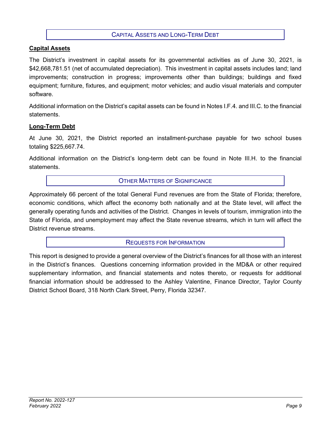#### CAPITAL ASSETS AND LONG-TERM DEBT

#### **Capital Assets**

The District's investment in capital assets for its governmental activities as of June 30, 2021, is \$42,668,781.51 (net of accumulated depreciation). This investment in capital assets includes land; land improvements; construction in progress; improvements other than buildings; buildings and fixed equipment; furniture, fixtures, and equipment; motor vehicles; and audio visual materials and computer software.

Additional information on the District's capital assets can be found in Notes I.F.4. and III.C. to the financial statements.

#### **Long-Term Debt**

At June 30, 2021, the District reported an installment-purchase payable for two school buses totaling \$225,667.74.

Additional information on the District's long-term debt can be found in Note III.H. to the financial statements.

#### OTHER MATTERS OF SIGNIFICANCE

Approximately 66 percent of the total General Fund revenues are from the State of Florida; therefore, economic conditions, which affect the economy both nationally and at the State level, will affect the generally operating funds and activities of the District. Changes in levels of tourism, immigration into the State of Florida, and unemployment may affect the State revenue streams, which in turn will affect the District revenue streams.

#### REQUESTS FOR INFORMATION

This report is designed to provide a general overview of the District's finances for all those with an interest in the District's finances. Questions concerning information provided in the MD&A or other required supplementary information, and financial statements and notes thereto, or requests for additional financial information should be addressed to the Ashley Valentine, Finance Director, Taylor County District School Board, 318 North Clark Street, Perry, Florida 32347.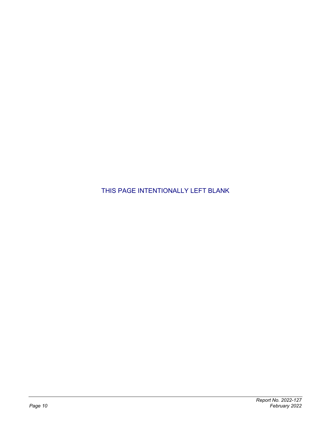THIS PAGE INTENTIONALLY LEFT BLANK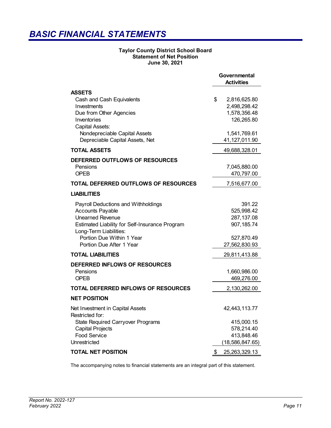# <span id="page-16-1"></span><span id="page-16-0"></span>*BASIC FINANCIAL STATEMENTS*

#### **Taylor County District School Board Statement of Net Position June 30, 2021**

|                                                                          | Governmental<br><b>Activities</b> |                  |  |
|--------------------------------------------------------------------------|-----------------------------------|------------------|--|
| <b>ASSETS</b>                                                            |                                   |                  |  |
| Cash and Cash Equivalents                                                | \$                                | 2,816,625.80     |  |
| Investments                                                              |                                   | 2,498,298.42     |  |
| Due from Other Agencies                                                  |                                   | 1,578,356.48     |  |
| Inventories                                                              |                                   | 126,265.80       |  |
| Capital Assets:                                                          |                                   |                  |  |
| Nondepreciable Capital Assets                                            |                                   | 1,541,769.61     |  |
| Depreciable Capital Assets, Net                                          |                                   | 41,127,011.90    |  |
| <b>TOTAL ASSETS</b>                                                      |                                   | 49,688,328.01    |  |
| DEFERRED OUTFLOWS OF RESOURCES                                           |                                   |                  |  |
| Pensions                                                                 |                                   | 7,045,880.00     |  |
| <b>OPEB</b>                                                              |                                   | 470,797.00       |  |
| TOTAL DEFERRED OUTFLOWS OF RESOURCES                                     |                                   | 7,516,677.00     |  |
| <b>LIABILITIES</b>                                                       |                                   |                  |  |
| Payroll Deductions and Withholdings                                      |                                   | 391.22           |  |
| <b>Accounts Payable</b>                                                  |                                   | 525,998.42       |  |
| <b>Unearned Revenue</b>                                                  |                                   | 287,137.08       |  |
| Estimated Liability for Self-Insurance Program<br>Long-Term Liabilities: |                                   | 907, 185.74      |  |
| Portion Due Within 1 Year                                                |                                   | 527,870.49       |  |
| Portion Due After 1 Year                                                 |                                   | 27,562,830.93    |  |
| <b>TOTAL LIABILITIES</b>                                                 |                                   | 29,811,413.88    |  |
| DEFERRED INFLOWS OF RESOURCES                                            |                                   |                  |  |
| Pensions                                                                 |                                   | 1,660,986.00     |  |
| <b>OPEB</b>                                                              |                                   | 469,276.00       |  |
| TOTAL DEFERRED INFLOWS OF RESOURCES                                      |                                   | 2,130,262.00     |  |
| <b>NET POSITION</b>                                                      |                                   |                  |  |
| Net Investment in Capital Assets<br>Restricted for:                      |                                   | 42,443,113.77    |  |
| <b>State Required Carryover Programs</b>                                 |                                   | 415,000.15       |  |
| <b>Capital Projects</b>                                                  |                                   | 578,214.40       |  |
| <b>Food Service</b>                                                      |                                   | 413,848.46       |  |
| Unrestricted                                                             |                                   | (18,586,847.65)  |  |
| <b>TOTAL NET POSITION</b>                                                | \$                                | 25, 263, 329. 13 |  |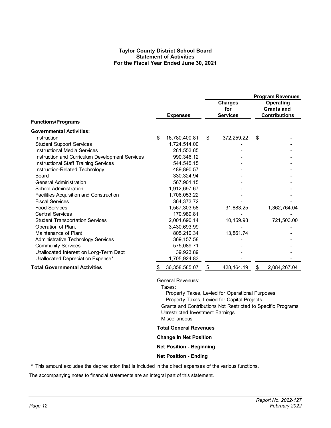#### **Taylor County District School Board Statement of Activities For the Fiscal Year Ended June 30, 2021**

<span id="page-17-1"></span><span id="page-17-0"></span>

|                                                 |    |                 |    |                   |                      | <b>Program Revenues</b> |  |
|-------------------------------------------------|----|-----------------|----|-------------------|----------------------|-------------------------|--|
|                                                 |    |                 |    | <b>Charges</b>    |                      | <b>Operating</b>        |  |
|                                                 |    | for             |    | <b>Grants and</b> |                      |                         |  |
|                                                 |    | <b>Expenses</b> |    | <b>Services</b>   | <b>Contributions</b> |                         |  |
| <b>Functions/Programs</b>                       |    |                 |    |                   |                      |                         |  |
| <b>Governmental Activities:</b>                 |    |                 |    |                   |                      |                         |  |
| Instruction                                     | \$ | 16,780,400.81   | \$ | 372,259.22        | \$                   |                         |  |
| <b>Student Support Services</b>                 |    | 1,724,514.00    |    |                   |                      |                         |  |
| <b>Instructional Media Services</b>             |    | 281.553.85      |    |                   |                      |                         |  |
| Instruction and Curriculum Development Services |    | 990,346.12      |    |                   |                      |                         |  |
| <b>Instructional Staff Training Services</b>    |    | 544,545.15      |    |                   |                      |                         |  |
| Instruction-Related Technology                  |    | 489,890.57      |    |                   |                      |                         |  |
| Board                                           |    | 330, 324.94     |    |                   |                      |                         |  |
| <b>General Administration</b>                   |    | 567,901.15      |    |                   |                      |                         |  |
| <b>School Administration</b>                    |    | 1,912,697.67    |    |                   |                      |                         |  |
| <b>Facilities Acquisition and Construction</b>  |    | 1,706,053.22    |    |                   |                      |                         |  |
| <b>Fiscal Services</b>                          |    | 364,373.72      |    |                   |                      |                         |  |
| <b>Food Services</b>                            |    | 1,567,303.58    |    | 31,883.25         |                      | 1,362,764.04            |  |
| <b>Central Services</b>                         |    | 170,989.81      |    |                   |                      |                         |  |
| <b>Student Transportation Services</b>          |    | 2.001.690.14    |    | 10,159.98         |                      | 721,503.00              |  |
| Operation of Plant                              |    | 3,430,693.99    |    |                   |                      |                         |  |
| Maintenance of Plant                            |    | 805,210.34      |    | 13,861.74         |                      |                         |  |
| Administrative Technology Services              |    | 369, 157.58     |    |                   |                      |                         |  |
| <b>Community Services</b>                       |    | 575,089.71      |    |                   |                      |                         |  |
| Unallocated Interest on Long-Term Debt          |    | 39,923.89       |    |                   |                      |                         |  |
| Unallocated Depreciation Expense*               |    | 1,705,924.83    |    |                   |                      |                         |  |
| <b>Total Governmental Activities</b>            | S  | 36, 358, 585.07 | \$ | 428, 164. 19      | \$                   | 2,084,267.04            |  |

General Revenues:

Taxes:

 Property Taxes, Levied for Operational Purposes Property Taxes, Levied for Capital Projects Grants and Contributions Not Restricted to Specific Programs Unrestricted Investment Earnings **Miscellaneous** 

#### **Total General Revenues**

**Change in Net Position**

**Net Position - Beginning**

**Net Position - Ending**

\* This amount excludes the depreciation that is included in the direct expenses of the various functions.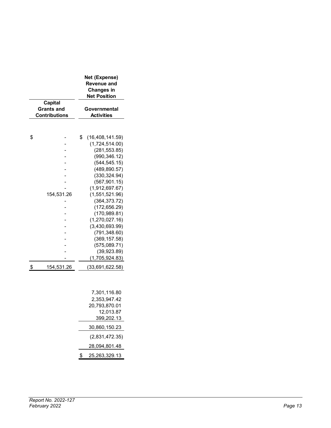|                                                      | Net (Expense)<br><b>Revenue and</b><br><b>Changes in</b><br><b>Net Position</b>                                                                                                     |  |
|------------------------------------------------------|-------------------------------------------------------------------------------------------------------------------------------------------------------------------------------------|--|
| Capital<br><b>Grants and</b><br><b>Contributions</b> | Governmental<br><b>Activities</b>                                                                                                                                                   |  |
| \$<br>154,531.26                                     | (16, 408, 141.59)<br>\$<br>(1,724,514.00)<br>(281, 553.85)<br>(990, 346.12)<br>(544, 545.15)<br>(489, 890.57)<br>(330, 324.94)<br>(567, 901.15)<br>(1,912,697.67)<br>(1,551,521.96) |  |
|                                                      | (364, 373.72)<br>(172, 656.29)<br>(170, 989.81)<br>(1,270,027.16)<br>(3,430,693.99)<br>(791, 348.60)<br>(369, 157.58)<br>(575,089.71)<br>(39, 923.89)<br>(1,705,924.83)             |  |
| 154,531.26<br>$\frac{1}{2}$                          | (33,691,622.58)<br>7,301,116.80<br>2,353,947.42<br>20,793,870.01                                                                                                                    |  |
|                                                      | 12,013.87<br>399,202.13<br>30,860,150.23<br>(2,831,472.35)                                                                                                                          |  |
|                                                      | 28,094,801.48<br>25, 263, 329. 13<br>\$                                                                                                                                             |  |
| Report No. 2022-127<br>February 2022                 |                                                                                                                                                                                     |  |

| 7.301.110.00        |
|---------------------|
| 2.353.947.42        |
| 20.793.870.01       |
| 12.013.87           |
| 399,202.13          |
| 30,860,150.23       |
| (2,831,472.35)      |
| 28,094,801.48       |
| \$<br>25,263,329.13 |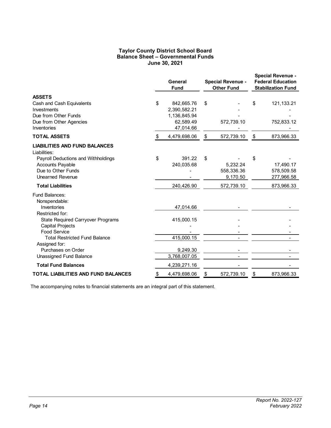#### **Taylor County District School Board Balance Sheet – Governmental Funds June 30, 2021**

<span id="page-19-1"></span><span id="page-19-0"></span>

|                                                                                                          | General<br><b>Fund</b> |                                            | <b>Special Revenue -</b><br><b>Other Fund</b> |    | <b>Special Revenue -</b><br><b>Federal Education</b><br><b>Stabilization Fund</b> |  |
|----------------------------------------------------------------------------------------------------------|------------------------|--------------------------------------------|-----------------------------------------------|----|-----------------------------------------------------------------------------------|--|
| <b>ASSETS</b>                                                                                            |                        |                                            |                                               |    |                                                                                   |  |
| Cash and Cash Equivalents<br>Investments<br>Due from Other Funds                                         | \$                     | 842,665.76<br>2,390,582.21<br>1,136,845.94 | \$                                            | \$ | 121,133.21                                                                        |  |
| Due from Other Agencies<br>Inventories                                                                   |                        | 62,589.49<br>47,014.66                     | 572,739.10                                    |    | 752,833.12                                                                        |  |
| <b>TOTAL ASSETS</b>                                                                                      | S                      | 4,479,698.06                               | \$<br>572,739.10                              | \$ | 873,966.33                                                                        |  |
| <b>LIABILITIES AND FUND BALANCES</b><br>Liabilities:                                                     |                        |                                            |                                               |    |                                                                                   |  |
| Payroll Deductions and Withholdings<br><b>Accounts Payable</b><br>Due to Other Funds<br>Unearned Revenue | \$                     | 391.22<br>240,035.68                       | \$<br>5,232.24<br>558,336.36<br>9,170.50      | \$ | 17,490.17<br>578,509.58<br>277,966.58                                             |  |
| <b>Total Liabilities</b>                                                                                 |                        | 240,426.90                                 | 572,739.10                                    |    | 873,966.33                                                                        |  |
| Fund Balances:<br>Nonspendable:<br>Inventories                                                           |                        | 47,014.66                                  |                                               |    |                                                                                   |  |
| Restricted for:<br>State Required Carryover Programs<br><b>Capital Projects</b>                          |                        | 415,000.15                                 |                                               |    |                                                                                   |  |
| <b>Food Service</b>                                                                                      |                        |                                            |                                               |    |                                                                                   |  |
| <b>Total Restricted Fund Balance</b><br>Assigned for:                                                    |                        | 415,000.15                                 |                                               |    |                                                                                   |  |
| Purchases on Order                                                                                       |                        | 9,249.30                                   |                                               |    |                                                                                   |  |
| <b>Unassigned Fund Balance</b>                                                                           |                        | 3,768,007.05                               |                                               |    |                                                                                   |  |
| <b>Total Fund Balances</b>                                                                               |                        | 4,239,271.16                               |                                               |    |                                                                                   |  |
| <b>TOTAL LIABILITIES AND FUND BALANCES</b>                                                               | \$                     | 4,479,698.06                               | \$<br>572,739.10                              | \$ | 873,966.33                                                                        |  |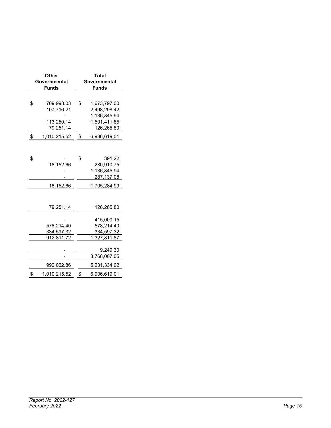| Other<br>Governmental<br><b>Funds</b>                     | Total<br>Governmental<br><b>Funds</b>                                            |
|-----------------------------------------------------------|----------------------------------------------------------------------------------|
| \$<br>709,998.03<br>107,716.21<br>113,250.14<br>79,251.14 | \$<br>1,673,797.00<br>2,498,298.42<br>1,136,845.94<br>1,501,411.85<br>126,265.80 |
| \$<br>1,010,215.52                                        | \$<br>6,936,619.01                                                               |
|                                                           |                                                                                  |
| \$<br>18,152.66                                           | \$<br>391.22<br>280,910.75                                                       |
|                                                           | 1,136,845.94                                                                     |
|                                                           | 287,137.08                                                                       |
| 18,152.66                                                 | 1,705,284.99                                                                     |
|                                                           |                                                                                  |
| 79,251.14                                                 | 126,265.80                                                                       |
| 578,214.40                                                | 415,000.15<br>578,214.40                                                         |
| 334,597.32                                                | 334,597.32                                                                       |
| 912,811.72                                                | 1,327,811.87                                                                     |
|                                                           |                                                                                  |
|                                                           | 9,249.30<br>3,768,007.05                                                         |
| 992,062.86                                                | 5,231,334.02                                                                     |
| \$<br>1,010,215.52                                        | \$<br>6,936,619.01                                                               |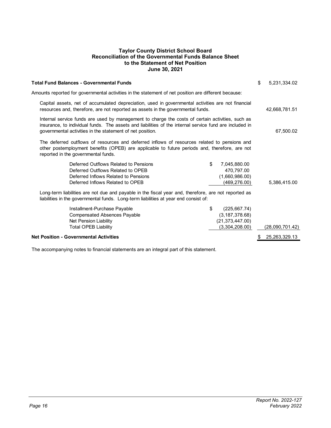#### **Taylor County District School Board Reconciliation of the Governmental Funds Balance Sheet to the Statement of Net Position June 30, 2021**

<span id="page-21-1"></span><span id="page-21-0"></span>

| Total Fund Balances - Governmental Funds                                                                                                                                                                                                                                 | \$<br>5,231,334.02 |
|--------------------------------------------------------------------------------------------------------------------------------------------------------------------------------------------------------------------------------------------------------------------------|--------------------|
| Amounts reported for governmental activities in the statement of net position are different because:                                                                                                                                                                     |                    |
| Capital assets, net of accumulated depreciation, used in governmental activities are not financial<br>resources and, therefore, are not reported as assets in the governmental funds.                                                                                    | 42,668,781.51      |
| Internal service funds are used by management to charge the costs of certain activities, such as<br>insurance, to individual funds. The assets and liabilities of the internal service fund are included in<br>governmental activities in the statement of net position. | 67,500.02          |
| The deferred outflows of resources and deferred inflows of resources related to pensions and<br>other postemployment benefits (OPEB) are applicable to future periods and, therefore, are not<br>reported in the governmental funds.                                     |                    |
| Deferred Outflows Related to Pensions<br>\$<br>7,045,880.00<br>470,797.00<br>Deferred Outflows Related to OPEB<br>(1,660,986.00)<br>Deferred Inflows Related to Pensions<br>Deferred Inflows Related to OPEB<br>(469,276.00)                                             | 5,386,415.00       |
| Long-term liabilities are not due and payable in the fiscal year and, therefore, are not reported as<br>liabilities in the governmental funds. Long-term liabilities at year end consist of:                                                                             |                    |
| Installment-Purchase Payable<br>\$<br>(225, 667.74)<br><b>Compensated Absences Payable</b><br>(3, 187, 378.68)<br>Net Pension Liability<br>(21, 373, 447.00)<br><b>Total OPEB Liability</b><br>(3,304,208.00)                                                            | (28,090,701.42)    |
| <b>Net Position - Governmental Activities</b>                                                                                                                                                                                                                            | 25, 263, 329. 13   |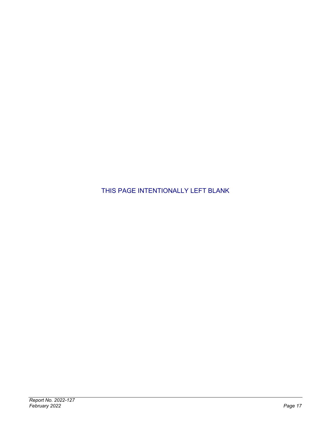THIS PAGE INTENTIONALLY LEFT BLANK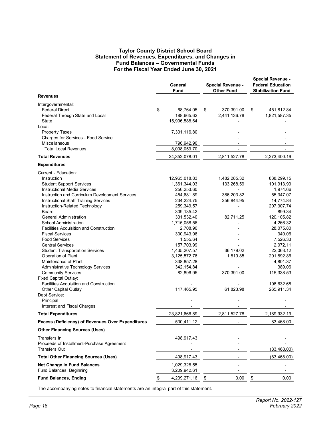#### **Taylor County District School Board Statement of Revenues, Expenditures, and Changes in Fund Balances – Governmental Funds For the Fiscal Year Ended June 30, 2021**

<span id="page-23-1"></span><span id="page-23-0"></span>

|                                                                | General<br>Fund              | <b>Special Revenue -</b><br><b>Other Fund</b> | <b>Special Revenue -</b><br><b>Federal Education</b><br><b>Stabilization Fund</b> |
|----------------------------------------------------------------|------------------------------|-----------------------------------------------|-----------------------------------------------------------------------------------|
| <b>Revenues</b>                                                |                              |                                               |                                                                                   |
| Intergovernmental:<br><b>Federal Direct</b>                    | \$<br>68,764.05              | \$<br>370,391.00                              | \$<br>451,812.84                                                                  |
| Federal Through State and Local<br>State                       | 188,665.62<br>15,996,588.64  | 2,441,136.78                                  | 1,821,587.35                                                                      |
| Local:<br><b>Property Taxes</b>                                | 7,301,116.80                 |                                               |                                                                                   |
| Charges for Services - Food Service<br>Miscellaneous           | 796,942.90                   |                                               |                                                                                   |
| <b>Total Local Revenues</b>                                    | 8,098,059.70                 | $\overline{\phantom{a}}$                      |                                                                                   |
| <b>Total Revenues</b>                                          | 24,352,078.01                | 2,811,527.78                                  | 2,273,400.19                                                                      |
| <b>Expenditures</b>                                            |                              |                                               |                                                                                   |
| Current - Education:                                           |                              |                                               |                                                                                   |
| Instruction                                                    | 12,965,018.83                | 1,482,285.32                                  | 838,299.15                                                                        |
| <b>Student Support Services</b>                                | 1,361,344.03                 | 133,268.59                                    | 101,913.99                                                                        |
| <b>Instructional Media Services</b>                            | 256,253.60                   |                                               | 1,974.66                                                                          |
| Instruction and Curriculum Development Services                | 454,681.89                   | 386,203.82                                    | 55,347.07                                                                         |
| Instructional Staff Training Services                          | 234,224.75                   | 256,844.95                                    | 14,774.84                                                                         |
| Instruction-Related Technology                                 | 259,349.57                   |                                               | 207,307.74                                                                        |
| Board                                                          | 309,135.42                   |                                               | 899.34                                                                            |
| <b>General Administration</b>                                  | 331,532.40                   | 82,711.25                                     | 120, 105.82                                                                       |
| School Administration                                          | 1,715,058.56                 |                                               | 4,266.32                                                                          |
| <b>Facilities Acquisition and Construction</b>                 | 2,708.90                     |                                               | 28,075.80                                                                         |
| <b>Fiscal Services</b>                                         | 330,943.96                   |                                               | 340.06                                                                            |
| <b>Food Services</b>                                           | 1,555.64                     |                                               | 7,526.33                                                                          |
| <b>Central Services</b>                                        | 157,703.99                   |                                               | 2,072.11                                                                          |
| <b>Student Transportation Services</b>                         | 1,435,207.57                 | 36,179.02                                     | 22,063.12                                                                         |
| Operation of Plant                                             | 3, 125, 572. 76              | 1,819.85                                      | 201,892.86                                                                        |
| Maintenance of Plant                                           | 338,857.28                   |                                               | 4,801.37                                                                          |
| <b>Administrative Technology Services</b>                      | 342,154.84                   |                                               | 389.06                                                                            |
| <b>Community Services</b>                                      | 82,896.95                    | 370,391.00                                    | 115,338.53                                                                        |
| Fixed Capital Outlay:                                          |                              |                                               |                                                                                   |
| Facilities Acquisition and Construction                        |                              |                                               | 196,632.68                                                                        |
| Other Capital Outlay                                           | 117,465.95                   | 61,823.98                                     | 265,911.34                                                                        |
| Debt Service:                                                  |                              |                                               |                                                                                   |
| Principal                                                      |                              |                                               |                                                                                   |
| Interest and Fiscal Charges                                    |                              |                                               |                                                                                   |
| <b>Total Expenditures</b>                                      | 23,821,666.89                | 2,811,527.78                                  | 2,189,932.19                                                                      |
| <b>Excess (Deficiency) of Revenues Over Expenditures</b>       | 530,411.12                   |                                               | 83,468.00                                                                         |
| <b>Other Financing Sources (Uses)</b>                          |                              |                                               |                                                                                   |
| Transfers In                                                   | 498,917.43                   |                                               |                                                                                   |
| Proceeds of Installment-Purchase Agreement                     |                              |                                               |                                                                                   |
| <b>Transfers Out</b>                                           |                              |                                               | (83, 468.00)                                                                      |
| <b>Total Other Financing Sources (Uses)</b>                    | 498,917.43                   |                                               | (83, 468.00)                                                                      |
| <b>Net Change in Fund Balances</b><br>Fund Balances, Beginning | 1,029,328.55<br>3,209,942.61 |                                               |                                                                                   |
| <b>Fund Balances, Ending</b>                                   | \$<br>4,239,271.16           | \$<br>0.00                                    | \$<br>0.00                                                                        |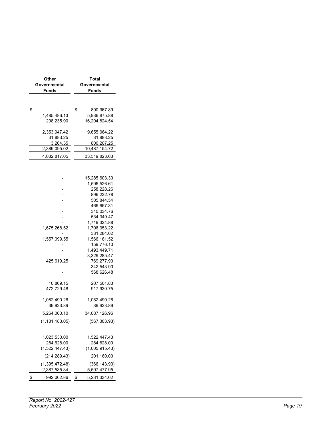|                  | Other<br>Governmental<br><b>Funds</b> | <b>Total</b><br>Governmental<br><b>Funds</b> |
|------------------|---------------------------------------|----------------------------------------------|
| \$               |                                       | \$<br>890,967.89                             |
|                  | 1,485,486.13                          | 5,936,875.88                                 |
|                  | 208,235.90                            | 16,204,824.54                                |
|                  |                                       |                                              |
|                  | 2,353,947.42<br>31,883.25             | 9,655,064.22<br>31,883.25                    |
|                  | 3,264.35                              | 800, 207. 25                                 |
|                  | 2,389,095.02                          | 10,487,154.72                                |
|                  | 4,082,817.05                          | 33,519,823.03                                |
|                  |                                       |                                              |
|                  |                                       | 15,285,603.30                                |
|                  | ۰                                     | 1,596,526.61<br>258,228.26                   |
|                  |                                       | 896,232.78                                   |
|                  |                                       | 505,844.54                                   |
|                  |                                       | 466,657.31                                   |
|                  |                                       | 310,034.76                                   |
|                  |                                       | 534,349.47<br>1,719,324.88                   |
|                  | 1,675,268.52                          | 1,706,053.22                                 |
|                  |                                       | 331,284.02                                   |
|                  | 1,557,099.55                          | 1,566,181.52                                 |
|                  |                                       | 159,776.10                                   |
|                  |                                       | 1,493,449.71                                 |
|                  | 425,619.25                            | 3,329,285.47<br>769,277.90                   |
|                  |                                       | 342,543.90                                   |
|                  |                                       | 568,626.48                                   |
|                  |                                       |                                              |
|                  | 10,869.15<br>472,729.48               | 207,501.83<br>917,930.75                     |
|                  |                                       |                                              |
|                  | 1,082,490.26                          | 1,082,490.26                                 |
|                  | 39,923.89                             | 39,923.89                                    |
|                  | 5,264,000.10                          | 34,087,126.96                                |
|                  | (1, 181, 183.05)                      | (567, 303.93)                                |
|                  |                                       |                                              |
|                  | 1,023,530.00<br>284,628.00            | 1,522,447.43<br>284,628.00                   |
|                  | (1,522,447.43)                        | (1,605,915.43)                               |
|                  | (214, 289.43)                         | 201,160.00                                   |
|                  | (1,395,472.48)                        | (366, 143.93)                                |
|                  | 2,387,535.34                          | 5,597,477.95                                 |
| $\underline{\$}$ | 992,062.86                            | \$<br>5,231,334.02                           |
|                  |                                       |                                              |
|                  |                                       |                                              |
|                  | Report No. 2022-127                   |                                              |
|                  | February 2022                         |                                              |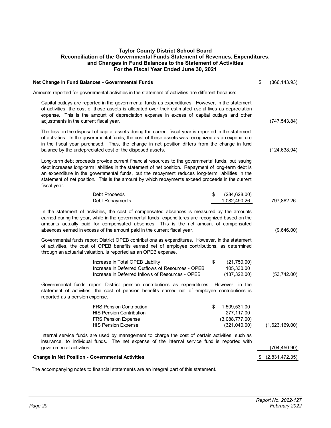#### <span id="page-25-1"></span>**Taylor County District School Board Reconciliation of the Governmental Funds Statement of Revenues, Expenditures, and Changes in Fund Balances to the Statement of Activities For the Fiscal Year Ended June 30, 2021**

<span id="page-25-0"></span>

| Net Change in Fund Balances - Governmental Funds                                                                                                                                                                                                                                                                                                                                                                                    | \$<br>(366, 143.93) |
|-------------------------------------------------------------------------------------------------------------------------------------------------------------------------------------------------------------------------------------------------------------------------------------------------------------------------------------------------------------------------------------------------------------------------------------|---------------------|
| Amounts reported for governmental activities in the statement of activities are different because:                                                                                                                                                                                                                                                                                                                                  |                     |
| Capital outlays are reported in the governmental funds as expenditures. However, in the statement<br>of activities, the cost of those assets is allocated over their estimated useful lives as depreciation<br>expense. This is the amount of depreciation expense in excess of capital outlays and other<br>adjustments in the current fiscal year.                                                                                | (747, 543.84)       |
| The loss on the disposal of capital assets during the current fiscal year is reported in the statement<br>of activities. In the governmental funds, the cost of these assets was recognized as an expenditure<br>in the fiscal year purchased. Thus, the change in net position differs from the change in fund<br>balance by the undepreciated cost of the disposed assets.                                                        | (124, 638.94)       |
| Long-term debt proceeds provide current financial resources to the governmental funds, but issuing<br>debt increases long-term liabilities in the statement of net position. Repayment of long-term debt is<br>an expenditure in the governmental funds, but the repayment reduces long-term liabilities in the<br>statement of net position. This is the amount by which repayments exceed proceeds in the current<br>fiscal year. |                     |
| Debt Proceeds<br>\$<br>(284, 628.00)<br>1,082,490.26<br>Debt Repayments                                                                                                                                                                                                                                                                                                                                                             | 797,862.26          |
| In the statement of activities, the cost of compensated absences is measured by the amounts<br>earned during the year, while in the governmental funds, expenditures are recognized based on the<br>amounts actually paid for compensated absences. This is the net amount of compensated<br>absences earned in excess of the amount paid in the current fiscal year.                                                               | (9,646.00)          |
| Governmental funds report District OPEB contributions as expenditures. However, in the statement<br>of activities, the cost of OPEB benefits earned net of employee contributions, as determined<br>through an actuarial valuation, is reported as an OPEB expense.                                                                                                                                                                 |                     |
| Increase in Total OPEB Liability<br>\$<br>(21,750.00)<br>Increase in Deferred Outflows of Resources - OPEB<br>105,330.00<br>Increase in Deferred Inflows of Resources - OPEB<br>(137, 322.00)                                                                                                                                                                                                                                       | (53,742.00)         |
| Governmental funds report District pension contributions as expenditures. However, in the<br>statement of activities, the cost of pension benefits earned net of employee contributions is<br>reported as a pension expense.                                                                                                                                                                                                        |                     |
| <b>FRS Pension Contribution</b><br>1,509,531.00<br>\$<br>277,117.00<br><b>HIS Pension Contribution</b><br>(3,088,777.00)<br><b>FRS Pension Expense</b><br><b>HIS Pension Expense</b><br>(321,040.00)                                                                                                                                                                                                                                | (1,623,169.00)      |
| Internal service funds are used by management to charge the cost of certain activities, such as<br>insurance, to individual funds. The net expense of the internal service fund is reported with<br>governmental activities.                                                                                                                                                                                                        | (704,450.90)        |
| <b>Change in Net Position - Governmental Activities</b>                                                                                                                                                                                                                                                                                                                                                                             | (2,831,472.35)      |
|                                                                                                                                                                                                                                                                                                                                                                                                                                     |                     |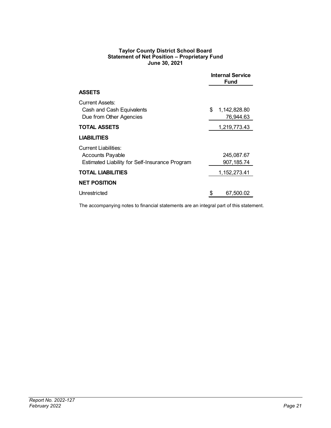#### **Taylor County District School Board Statement of Net Position – Proprietary Fund June 30, 2021**

<span id="page-26-1"></span><span id="page-26-0"></span>

|                                                                                                   | <b>Internal Service</b><br><b>Fund</b> |                           |
|---------------------------------------------------------------------------------------------------|----------------------------------------|---------------------------|
| <b>ASSETS</b>                                                                                     |                                        |                           |
| <b>Current Assets:</b><br>Cash and Cash Equivalents<br>Due from Other Agencies                    | \$                                     | 1,142,828.80<br>76,944.63 |
| <b>TOTAL ASSETS</b>                                                                               |                                        | 1,219,773.43              |
| <b>LIABILITIES</b>                                                                                |                                        |                           |
| Current Liabilities:<br><b>Accounts Payable</b><br>Estimated Liability for Self-Insurance Program |                                        | 245,087.67<br>907, 185.74 |
| <b>TOTAL LIABILITIES</b>                                                                          |                                        | 1,152,273.41              |
| <b>NET POSITION</b>                                                                               |                                        |                           |
| Unrestricted                                                                                      | \$                                     | 67,500.02                 |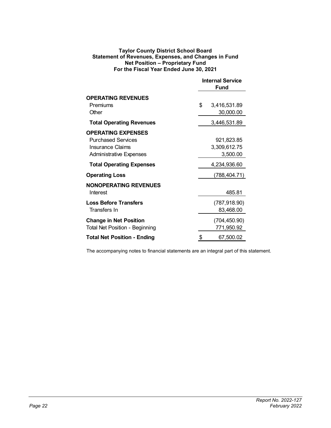#### <span id="page-27-1"></span>**Taylor County District School Board Statement of Revenues, Expenses, and Changes in Fund Net Position – Proprietary Fund For the Fiscal Year Ended June 30, 2021**

<span id="page-27-0"></span>

|                                                                                                                     | <b>Internal Service</b><br>Fund        |
|---------------------------------------------------------------------------------------------------------------------|----------------------------------------|
| <b>OPERATING REVENUES</b><br>Premiums<br>Other                                                                      | \$<br>3,416,531.89<br>30,000.00        |
| <b>Total Operating Revenues</b>                                                                                     | 3,446,531.89                           |
| <b>OPERATING EXPENSES</b><br><b>Purchased Services</b><br><b>Insurance Claims</b><br><b>Administrative Expenses</b> | 921,823.85<br>3,309,612.75<br>3,500.00 |
| <b>Total Operating Expenses</b>                                                                                     | 4,234,936.60                           |
| <b>Operating Loss</b>                                                                                               | (788,404.71)                           |
| <b>NONOPERATING REVENUES</b><br>Interest                                                                            | 485.81                                 |
| <b>Loss Before Transfers</b><br>Transfers In                                                                        | (787, 918.90)<br>83,468.00             |
| <b>Change in Net Position</b><br><b>Total Net Position - Beginning</b>                                              | (704, 450.90)<br>771,950.92            |
| <b>Total Net Position - Ending</b>                                                                                  | 67,500.02<br>\$                        |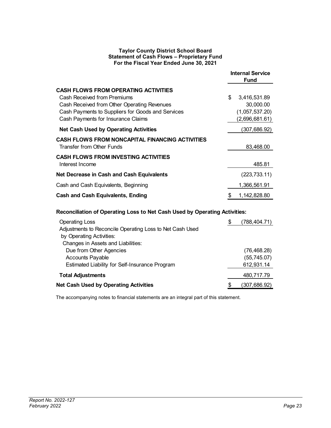#### **Taylor County District School Board Statement of Cash Flows – Proprietary Fund For the Fiscal Year Ended June 30, 2021**

<span id="page-28-1"></span><span id="page-28-0"></span>

|                                                                                     |    | <b>Internal Service</b><br><b>Fund</b> |
|-------------------------------------------------------------------------------------|----|----------------------------------------|
| <b>CASH FLOWS FROM OPERATING ACTIVITIES</b>                                         |    |                                        |
| <b>Cash Received from Premiums</b>                                                  | \$ | 3,416,531.89                           |
| Cash Received from Other Operating Revenues                                         |    | 30,000.00                              |
| Cash Payments to Suppliers for Goods and Services                                   |    | (1,057,537.20)                         |
| Cash Payments for Insurance Claims                                                  |    | (2,696,681.61)                         |
| <b>Net Cash Used by Operating Activities</b>                                        |    | (307,686.92)                           |
| <b>CASH FLOWS FROM NONCAPITAL FINANCING ACTIVITIES</b><br>Transfer from Other Funds |    | 83,468.00                              |
| <b>CASH FLOWS FROM INVESTING ACTIVITIES</b><br>Interest Income                      |    | 485.81                                 |
| Net Decrease in Cash and Cash Equivalents                                           |    | (223, 733.11)                          |
| Cash and Cash Equivalents, Beginning                                                |    | 1,366,561.91                           |
| <b>Cash and Cash Equivalents, Ending</b>                                            |    | 1,142,828.80                           |
| Reconciliation of Operating Loss to Net Cash Used by Operating Activities:          |    |                                        |
| Onerating Loss                                                                      | ድ  | 788 404 71)                            |

| <b>Operating Loss</b>                                    | \$<br>(788,404.71) |
|----------------------------------------------------------|--------------------|
| Adjustments to Reconcile Operating Loss to Net Cash Used |                    |
| by Operating Activities:                                 |                    |
| Changes in Assets and Liabilities:                       |                    |
| Due from Other Agencies                                  | (76, 468.28)       |
| <b>Accounts Payable</b>                                  | (55, 745.07)       |
| Estimated Liability for Self-Insurance Program           | 612,931.14         |
| <b>Total Adjustments</b>                                 | 480,717.79         |
| <b>Net Cash Used by Operating Activities</b>             | (307,686.92)       |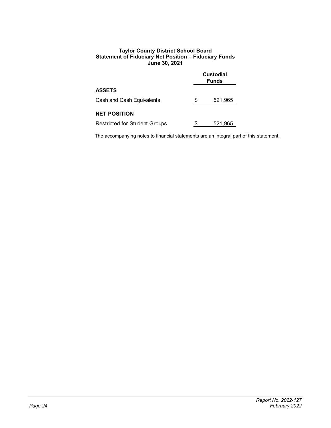#### <span id="page-29-1"></span><span id="page-29-0"></span>**Taylor County District School Board Statement of Fiduciary Net Position – Fiduciary Funds June 30, 2021**

|                                      | <b>Custodial</b><br><b>Funds</b> |         |  |
|--------------------------------------|----------------------------------|---------|--|
| <b>ASSETS</b>                        |                                  |         |  |
| Cash and Cash Equivalents            |                                  | 521,965 |  |
| <b>NET POSITION</b>                  |                                  |         |  |
| <b>Restricted for Student Groups</b> |                                  | 521,965 |  |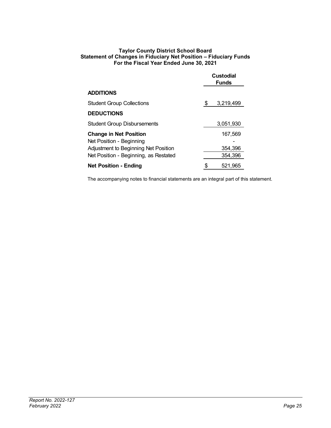#### <span id="page-30-1"></span><span id="page-30-0"></span>**Taylor County District School Board Statement of Changes in Fiduciary Net Position – Fiduciary Funds For the Fiscal Year Ended June 30, 2021**

|                                                                  | <b>Custodial</b><br><b>Funds</b> |           |  |
|------------------------------------------------------------------|----------------------------------|-----------|--|
| <b>ADDITIONS</b>                                                 |                                  |           |  |
| <b>Student Group Collections</b>                                 | \$                               | 3,219,499 |  |
| <b>DEDUCTIONS</b>                                                |                                  |           |  |
| <b>Student Group Disbursements</b>                               |                                  | 3,051,930 |  |
| <b>Change in Net Position</b>                                    |                                  | 167,569   |  |
| Net Position - Beginning<br>Adjustment to Beginning Net Position |                                  | 354,396   |  |
| Net Position - Beginning, as Restated                            |                                  | 354,396   |  |
| <b>Net Position - Ending</b>                                     |                                  | 521.965   |  |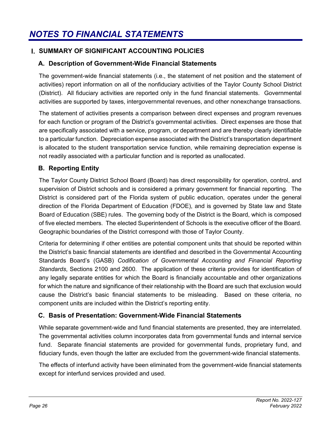### <span id="page-31-1"></span><span id="page-31-0"></span>**SUMMARY OF SIGNIFICANT ACCOUNTING POLICIES**

### **A. Description of Government-Wide Financial Statements**

The government-wide financial statements (i.e., the statement of net position and the statement of activities) report information on all of the nonfiduciary activities of the Taylor County School District (District). All fiduciary activities are reported only in the fund financial statements. Governmental activities are supported by taxes, intergovernmental revenues, and other nonexchange transactions.

The statement of activities presents a comparison between direct expenses and program revenues for each function or program of the District's governmental activities. Direct expenses are those that are specifically associated with a service, program, or department and are thereby clearly identifiable to a particular function. Depreciation expense associated with the District's transportation department is allocated to the student transportation service function, while remaining depreciation expense is not readily associated with a particular function and is reported as unallocated.

#### **B. Reporting Entity**

The Taylor County District School Board (Board) has direct responsibility for operation, control, and supervision of District schools and is considered a primary government for financial reporting. The District is considered part of the Florida system of public education, operates under the general direction of the Florida Department of Education (FDOE), and is governed by State law and State Board of Education (SBE) rules. The governing body of the District is the Board, which is composed of five elected members. The elected Superintendent of Schools is the executive officer of the Board. Geographic boundaries of the District correspond with those of Taylor County.

Criteria for determining if other entities are potential component units that should be reported within the District's basic financial statements are identified and described in the Governmental Accounting Standards Board's (GASB) *Codification of Governmental Accounting and Financial Reporting Standards*, Sections 2100 and 2600. The application of these criteria provides for identification of any legally separate entities for which the Board is financially accountable and other organizations for which the nature and significance of their relationship with the Board are such that exclusion would cause the District's basic financial statements to be misleading. Based on these criteria, no component units are included within the District's reporting entity.

#### **C. Basis of Presentation: Government-Wide Financial Statements**

While separate government-wide and fund financial statements are presented, they are interrelated. The governmental activities column incorporates data from governmental funds and internal service fund. Separate financial statements are provided for governmental funds, proprietary fund, and fiduciary funds, even though the latter are excluded from the government-wide financial statements.

The effects of interfund activity have been eliminated from the government-wide financial statements except for interfund services provided and used.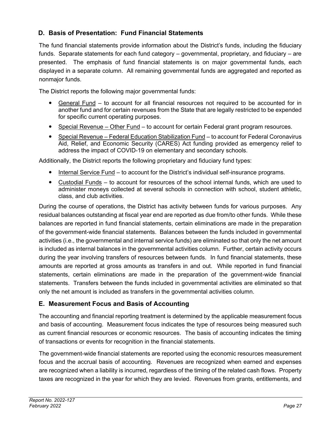# **D. Basis of Presentation: Fund Financial Statements**

The fund financial statements provide information about the District's funds, including the fiduciary funds. Separate statements for each fund category – governmental, proprietary, and fiduciary – are presented. The emphasis of fund financial statements is on major governmental funds, each displayed in a separate column. All remaining governmental funds are aggregated and reported as nonmajor funds.

The District reports the following major governmental funds:

- General Fund to account for all financial resources not required to be accounted for in another fund and for certain revenues from the State that are legally restricted to be expended for specific current operating purposes.
- Special Revenue Other Fund to account for certain Federal grant program resources.
- Special Revenue Federal Education Stabilization Fund to account for Federal Coronavirus Aid, Relief, and Economic Security (CARES) Act funding provided as emergency relief to address the impact of COVID-19 on elementary and secondary schools.

Additionally, the District reports the following proprietary and fiduciary fund types:

- Internal Service Fund to account for the District's individual self-insurance programs.
- Custodial Funds to account for resources of the school internal funds, which are used to administer moneys collected at several schools in connection with school, student athletic, class, and club activities.

During the course of operations, the District has activity between funds for various purposes. Any residual balances outstanding at fiscal year end are reported as due from/to other funds. While these balances are reported in fund financial statements, certain eliminations are made in the preparation of the government-wide financial statements. Balances between the funds included in governmental activities (i.e., the governmental and internal service funds) are eliminated so that only the net amount is included as internal balances in the governmental activities column. Further, certain activity occurs during the year involving transfers of resources between funds. In fund financial statements, these amounts are reported at gross amounts as transfers in and out. While reported in fund financial statements, certain eliminations are made in the preparation of the government-wide financial statements. Transfers between the funds included in governmental activities are eliminated so that only the net amount is included as transfers in the governmental activities column.

# **E. Measurement Focus and Basis of Accounting**

The accounting and financial reporting treatment is determined by the applicable measurement focus and basis of accounting. Measurement focus indicates the type of resources being measured such as current financial resources or economic resources. The basis of accounting indicates the timing of transactions or events for recognition in the financial statements.

The government-wide financial statements are reported using the economic resources measurement focus and the accrual basis of accounting. Revenues are recognized when earned and expenses are recognized when a liability is incurred, regardless of the timing of the related cash flows. Property taxes are recognized in the year for which they are levied. Revenues from grants, entitlements, and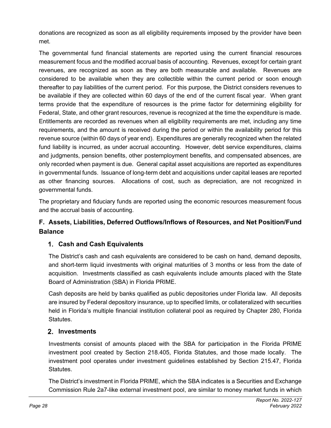donations are recognized as soon as all eligibility requirements imposed by the provider have been met.

The governmental fund financial statements are reported using the current financial resources measurement focus and the modified accrual basis of accounting. Revenues, except for certain grant revenues, are recognized as soon as they are both measurable and available. Revenues are considered to be available when they are collectible within the current period or soon enough thereafter to pay liabilities of the current period. For this purpose, the District considers revenues to be available if they are collected within 60 days of the end of the current fiscal year. When grant terms provide that the expenditure of resources is the prime factor for determining eligibility for Federal, State, and other grant resources, revenue is recognized at the time the expenditure is made. Entitlements are recorded as revenues when all eligibility requirements are met, including any time requirements, and the amount is received during the period or within the availability period for this revenue source (within 60 days of year end). Expenditures are generally recognized when the related fund liability is incurred, as under accrual accounting. However, debt service expenditures, claims and judgments, pension benefits, other postemployment benefits, and compensated absences, are only recorded when payment is due. General capital asset acquisitions are reported as expenditures in governmental funds. Issuance of long-term debt and acquisitions under capital leases are reported as other financing sources. Allocations of cost, such as depreciation, are not recognized in governmental funds.

The proprietary and fiduciary funds are reported using the economic resources measurement focus and the accrual basis of accounting.

# **F. Assets, Liabilities, Deferred Outflows/Inflows of Resources, and Net Position/Fund Balance**

# **Cash and Cash Equivalents**

The District's cash and cash equivalents are considered to be cash on hand, demand deposits, and short-term liquid investments with original maturities of 3 months or less from the date of acquisition. Investments classified as cash equivalents include amounts placed with the State Board of Administration (SBA) in Florida PRIME.

Cash deposits are held by banks qualified as public depositories under Florida law. All deposits are insured by Federal depository insurance, up to specified limits, or collateralized with securities held in Florida's multiple financial institution collateral pool as required by Chapter 280, Florida **Statutes** 

#### **Investments**

Investments consist of amounts placed with the SBA for participation in the Florida PRIME investment pool created by Section 218.405, Florida Statutes, and those made locally. The investment pool operates under investment guidelines established by Section 215.47, Florida Statutes.

The District's investment in Florida PRIME, which the SBA indicates is a Securities and Exchange Commission Rule 2a7-like external investment pool, are similar to money market funds in which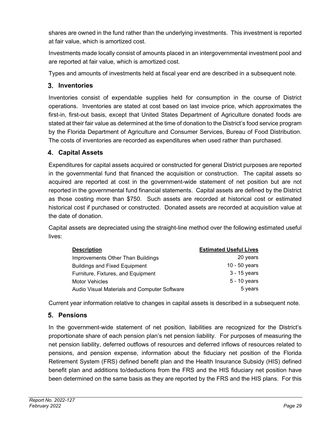shares are owned in the fund rather than the underlying investments. This investment is reported at fair value, which is amortized cost.

Investments made locally consist of amounts placed in an intergovernmental investment pool and are reported at fair value, which is amortized cost.

Types and amounts of investments held at fiscal year end are described in a subsequent note.

# **Inventories**

Inventories consist of expendable supplies held for consumption in the course of District operations. Inventories are stated at cost based on last invoice price, which approximates the first-in, first-out basis, except that United States Department of Agriculture donated foods are stated at their fair value as determined at the time of donation to the District's food service program by the Florida Department of Agriculture and Consumer Services, Bureau of Food Distribution. The costs of inventories are recorded as expenditures when used rather than purchased.

# **Capital Assets**

Expenditures for capital assets acquired or constructed for general District purposes are reported in the governmental fund that financed the acquisition or construction. The capital assets so acquired are reported at cost in the government-wide statement of net position but are not reported in the governmental fund financial statements. Capital assets are defined by the District as those costing more than \$750. Such assets are recorded at historical cost or estimated historical cost if purchased or constructed. Donated assets are recorded at acquisition value at the date of donation.

Capital assets are depreciated using the straight-line method over the following estimated useful lives:

| <b>Description</b>                           | <b>Estimated Useful Lives</b> |
|----------------------------------------------|-------------------------------|
| Improvements Other Than Buildings            | 20 years                      |
| <b>Buildings and Fixed Equipment</b>         | 10 - 50 years                 |
| Furniture, Fixtures, and Equipment           | 3 - 15 years                  |
| <b>Motor Vehicles</b>                        | 5 - 10 years                  |
| Audio Visual Materials and Computer Software | 5 years                       |

Current year information relative to changes in capital assets is described in a subsequent note.

# **Pensions**

In the government-wide statement of net position, liabilities are recognized for the District's proportionate share of each pension plan's net pension liability. For purposes of measuring the net pension liability, deferred outflows of resources and deferred inflows of resources related to pensions, and pension expense, information about the fiduciary net position of the Florida Retirement System (FRS) defined benefit plan and the Health Insurance Subsidy (HIS) defined benefit plan and additions to/deductions from the FRS and the HIS fiduciary net position have been determined on the same basis as they are reported by the FRS and the HIS plans. For this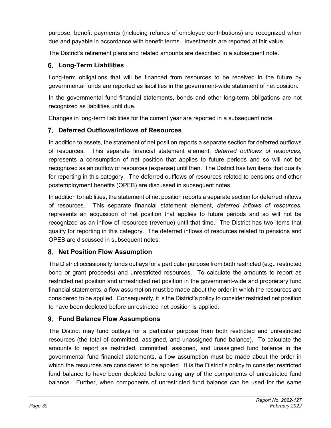purpose, benefit payments (including refunds of employee contributions) are recognized when due and payable in accordance with benefit terms. Investments are reported at fair value.

The District's retirement plans and related amounts are described in a subsequent note.

# **Long-Term Liabilities**

Long-term obligations that will be financed from resources to be received in the future by governmental funds are reported as liabilities in the government-wide statement of net position.

In the governmental fund financial statements, bonds and other long-term obligations are not recognized as liabilities until due.

Changes in long-term liabilities for the current year are reported in a subsequent note.

# **Deferred Outflows/Inflows of Resources**

In addition to assets, the statement of net position reports a separate section for deferred outflows of resources. This separate financial statement element, *deferred outflows of resources*, represents a consumption of net position that applies to future periods and so will not be recognized as an outflow of resources (expense) until then. The District has two items that qualify for reporting in this category. The deferred outflows of resources related to pensions and other postemployment benefits (OPEB) are discussed in subsequent notes.

In addition to liabilities, the statement of net position reports a separate section for deferred inflows of resources. This separate financial statement element, *deferred inflows of resources*, represents an acquisition of net position that applies to future periods and so will not be recognized as an inflow of resources (revenue) until that time. The District has two items that qualify for reporting in this category. The deferred inflows of resources related to pensions and OPEB are discussed in subsequent notes.

# **Net Position Flow Assumption**

The District occasionally funds outlays for a particular purpose from both restricted (e.g., restricted bond or grant proceeds) and unrestricted resources. To calculate the amounts to report as restricted net position and unrestricted net position in the government-wide and proprietary fund financial statements, a flow assumption must be made about the order in which the resources are considered to be applied. Consequently, it is the District's policy to consider restricted net position to have been depleted before unrestricted net position is applied.

#### **Fund Balance Flow Assumptions**

The District may fund outlays for a particular purpose from both restricted and unrestricted resources (the total of committed, assigned, and unassigned fund balance). To calculate the amounts to report as restricted, committed, assigned, and unassigned fund balance in the governmental fund financial statements, a flow assumption must be made about the order in which the resources are considered to be applied. It is the District's policy to consider restricted fund balance to have been depleted before using any of the components of unrestricted fund balance. Further, when components of unrestricted fund balance can be used for the same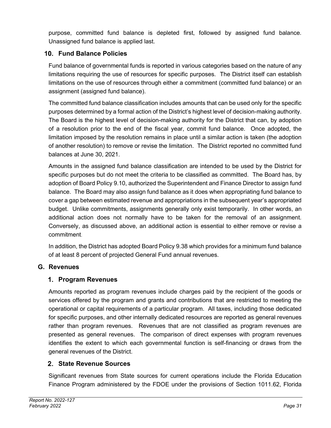purpose, committed fund balance is depleted first, followed by assigned fund balance. Unassigned fund balance is applied last.

## **Fund Balance Policies**

Fund balance of governmental funds is reported in various categories based on the nature of any limitations requiring the use of resources for specific purposes. The District itself can establish limitations on the use of resources through either a commitment (committed fund balance) or an assignment (assigned fund balance).

The committed fund balance classification includes amounts that can be used only for the specific purposes determined by a formal action of the District's highest level of decision-making authority. The Board is the highest level of decision-making authority for the District that can, by adoption of a resolution prior to the end of the fiscal year, commit fund balance. Once adopted, the limitation imposed by the resolution remains in place until a similar action is taken (the adoption of another resolution) to remove or revise the limitation. The District reported no committed fund balances at June 30, 2021.

Amounts in the assigned fund balance classification are intended to be used by the District for specific purposes but do not meet the criteria to be classified as committed. The Board has, by adoption of Board Policy 9.10, authorized the Superintendent and Finance Director to assign fund balance. The Board may also assign fund balance as it does when appropriating fund balance to cover a gap between estimated revenue and appropriations in the subsequent year's appropriated budget. Unlike commitments, assignments generally only exist temporarily. In other words, an additional action does not normally have to be taken for the removal of an assignment. Conversely, as discussed above, an additional action is essential to either remove or revise a commitment.

In addition, the District has adopted Board Policy 9.38 which provides for a minimum fund balance of at least 8 percent of projected General Fund annual revenues.

## **G. Revenues**

## **Program Revenues**

Amounts reported as program revenues include charges paid by the recipient of the goods or services offered by the program and grants and contributions that are restricted to meeting the operational or capital requirements of a particular program. All taxes, including those dedicated for specific purposes, and other internally dedicated resources are reported as general revenues rather than program revenues. Revenues that are not classified as program revenues are presented as general revenues. The comparison of direct expenses with program revenues identifies the extent to which each governmental function is self-financing or draws from the general revenues of the District.

## **State Revenue Sources**

Significant revenues from State sources for current operations include the Florida Education Finance Program administered by the FDOE under the provisions of Section 1011.62, Florida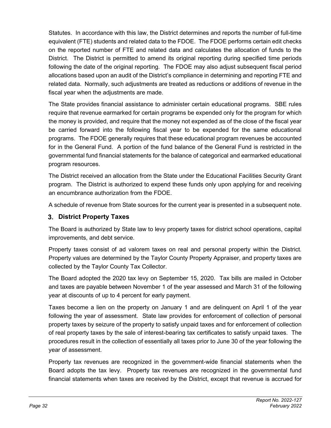Statutes. In accordance with this law, the District determines and reports the number of full-time equivalent (FTE) students and related data to the FDOE. The FDOE performs certain edit checks on the reported number of FTE and related data and calculates the allocation of funds to the District. The District is permitted to amend its original reporting during specified time periods following the date of the original reporting. The FDOE may also adjust subsequent fiscal period allocations based upon an audit of the District's compliance in determining and reporting FTE and related data. Normally, such adjustments are treated as reductions or additions of revenue in the fiscal year when the adjustments are made.

The State provides financial assistance to administer certain educational programs. SBE rules require that revenue earmarked for certain programs be expended only for the program for which the money is provided, and require that the money not expended as of the close of the fiscal year be carried forward into the following fiscal year to be expended for the same educational programs. The FDOE generally requires that these educational program revenues be accounted for in the General Fund. A portion of the fund balance of the General Fund is restricted in the governmental fund financial statements for the balance of categorical and earmarked educational program resources.

The District received an allocation from the State under the Educational Facilities Security Grant program. The District is authorized to expend these funds only upon applying for and receiving an encumbrance authorization from the FDOE.

A schedule of revenue from State sources for the current year is presented in a subsequent note.

## **District Property Taxes**

The Board is authorized by State law to levy property taxes for district school operations, capital improvements, and debt service.

Property taxes consist of ad valorem taxes on real and personal property within the District. Property values are determined by the Taylor County Property Appraiser, and property taxes are collected by the Taylor County Tax Collector.

The Board adopted the 2020 tax levy on September 15, 2020. Tax bills are mailed in October and taxes are payable between November 1 of the year assessed and March 31 of the following year at discounts of up to 4 percent for early payment.

Taxes become a lien on the property on January 1 and are delinquent on April 1 of the year following the year of assessment. State law provides for enforcement of collection of personal property taxes by seizure of the property to satisfy unpaid taxes and for enforcement of collection of real property taxes by the sale of interest-bearing tax certificates to satisfy unpaid taxes. The procedures result in the collection of essentially all taxes prior to June 30 of the year following the year of assessment.

Property tax revenues are recognized in the government-wide financial statements when the Board adopts the tax levy. Property tax revenues are recognized in the governmental fund financial statements when taxes are received by the District, except that revenue is accrued for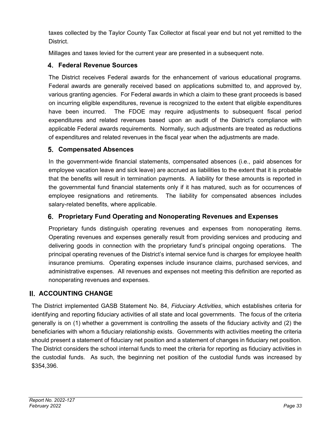taxes collected by the Taylor County Tax Collector at fiscal year end but not yet remitted to the District.

Millages and taxes levied for the current year are presented in a subsequent note.

## **Federal Revenue Sources**

The District receives Federal awards for the enhancement of various educational programs. Federal awards are generally received based on applications submitted to, and approved by, various granting agencies. For Federal awards in which a claim to these grant proceeds is based on incurring eligible expenditures, revenue is recognized to the extent that eligible expenditures have been incurred. The FDOE may require adjustments to subsequent fiscal period expenditures and related revenues based upon an audit of the District's compliance with applicable Federal awards requirements. Normally, such adjustments are treated as reductions of expenditures and related revenues in the fiscal year when the adjustments are made.

## **Compensated Absences**

In the government-wide financial statements, compensated absences (i.e., paid absences for employee vacation leave and sick leave) are accrued as liabilities to the extent that it is probable that the benefits will result in termination payments. A liability for these amounts is reported in the governmental fund financial statements only if it has matured, such as for occurrences of employee resignations and retirements. The liability for compensated absences includes salary-related benefits, where applicable.

## **Proprietary Fund Operating and Nonoperating Revenues and Expenses**

Proprietary funds distinguish operating revenues and expenses from nonoperating items. Operating revenues and expenses generally result from providing services and producing and delivering goods in connection with the proprietary fund's principal ongoing operations. The principal operating revenues of the District's internal service fund is charges for employee health insurance premiums. Operating expenses include insurance claims, purchased services, and administrative expenses. All revenues and expenses not meeting this definition are reported as nonoperating revenues and expenses.

## **ACCOUNTING CHANGE**

The District implemented GASB Statement No. 84, *Fiduciary Activities*, which establishes criteria for identifying and reporting fiduciary activities of all state and local governments. The focus of the criteria generally is on (1) whether a government is controlling the assets of the fiduciary activity and (2) the beneficiaries with whom a fiduciary relationship exists. Governments with activities meeting the criteria should present a statement of fiduciary net position and a statement of changes in fiduciary net position. The District considers the school internal funds to meet the criteria for reporting as fiduciary activities in the custodial funds. As such, the beginning net position of the custodial funds was increased by \$354,396.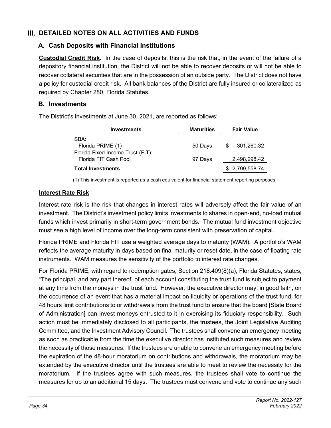## **III. DETAILED NOTES ON ALL ACTIVITIES AND FUNDS**

## **A. Cash Deposits with Financial Institutions**

**Custodial Credit Risk**. In the case of deposits, this is the risk that, in the event of the failure of a depository financial institution, the District will not be able to recover deposits or will not be able to recover collateral securities that are in the possession of an outside party. The District does not have a policy for custodial credit risk. All bank balances of the District are fully insured or collateralized as required by Chapter 280, Florida Statutes.

#### **B. Investments**

The District's investments at June 30, 2021, are reported as follows:

| <b>Investments</b>                | <b>Maturities</b> | <b>Fair Value</b> |
|-----------------------------------|-------------------|-------------------|
| SBA:                              |                   |                   |
| Florida PRIME (1)                 | 50 Days           | \$301,260.32      |
| Florida Fixed Income Trust (FIT): |                   |                   |
| Florida FIT Cash Pool             | 97 Days           | 2,498,298.42      |
| <b>Total Investments</b>          |                   | \$ 2,799,558.74   |
|                                   |                   |                   |

(1) This investment is reported as a cash equivalent for financial statement reporting purposes.

## **Interest Rate Risk**

Interest rate risk is the risk that changes in interest rates will adversely affect the fair value of an investment. The District's investment policy limits investments to shares in open-end, no-load mutual funds which invest primarily in short-term government bonds. The mutual fund investment objective must see a high level of income over the long-term consistent with preservation of capital.

Florida PRIME and Florida FIT use a weighted average days to maturity (WAM). A portfolio's WAM reflects the average maturity in days based on final maturity or reset date, in the case of floating rate instruments. WAM measures the sensitivity of the portfolio to interest rate changes.

For Florida PRIME, with regard to redemption gates, Section 218.409(8)(a), Florida Statutes, states, "The principal, and any part thereof, of each account constituting the trust fund is subject to payment at any time from the moneys in the trust fund. However, the executive director may, in good faith, on the occurrence of an event that has a material impact on liquidity or operations of the trust fund, for 48 hours limit contributions to or withdrawals from the trust fund to ensure that the board [State Board of Administration] can invest moneys entrusted to it in exercising its fiduciary responsibility. Such action must be immediately disclosed to all participants, the trustees, the Joint Legislative Auditing Committee, and the Investment Advisory Council. The trustees shall convene an emergency meeting as soon as practicable from the time the executive director has instituted such measures and review the necessity of those measures. If the trustees are unable to convene an emergency meeting before the expiration of the 48-hour moratorium on contributions and withdrawals, the moratorium may be extended by the executive director until the trustees are able to meet to review the necessity for the moratorium. If the trustees agree with such measures, the trustees shall vote to continue the measures for up to an additional 15 days. The trustees must convene and vote to continue any such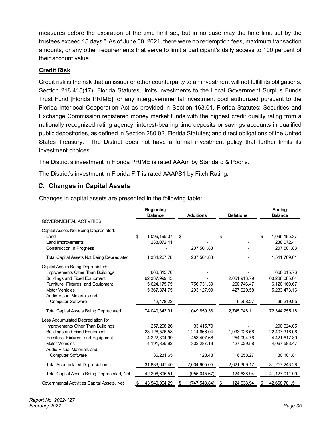measures before the expiration of the time limit set, but in no case may the time limit set by the trustees exceed 15 days." As of June 30, 2021, there were no redemption fees, maximum transaction amounts, or any other requirements that serve to limit a participant's daily access to 100 percent of their account value.

## **Credit Risk**

Credit risk is the risk that an issuer or other counterparty to an investment will not fulfill its obligations. Section 218.415(17), Florida Statutes, limits investments to the Local Government Surplus Funds Trust Fund [Florida PRIME], or any intergovernmental investment pool authorized pursuant to the Florida Interlocal Cooperation Act as provided in Section 163.01, Florida Statutes; Securities and Exchange Commission registered money market funds with the highest credit quality rating from a nationally recognized rating agency; interest-bearing time deposits or savings accounts in qualified public depositories, as defined in Section 280.02, Florida Statutes; and direct obligations of the United States Treasury. The District does not have a formal investment policy that further limits its investment choices.

The District's investment in Florida PRIME is rated AAAm by Standard & Poor's.

The District's investment in Florida FIT is rated AAAf/S1 by Fitch Rating.

## **C. Changes in Capital Assets**

Changes in capital assets are presented in the following table:

|                                                   |    | <b>Beginning</b><br><b>Balance</b> | <b>Additions</b><br><b>Deletions</b> |    |              | <b>Ending</b><br><b>Balance</b> |
|---------------------------------------------------|----|------------------------------------|--------------------------------------|----|--------------|---------------------------------|
| <b>GOVERNMENTAL ACTIVITIES</b>                    |    |                                    |                                      |    |              |                                 |
| Capital Assets Not Being Depreciated:             |    |                                    |                                      |    |              |                                 |
| Land                                              | \$ | 1,096,195.37                       | \$                                   | \$ |              | \$<br>1,096,195.37              |
| Land Improvements                                 |    | 238,072.41                         |                                      |    |              | 238,072.41                      |
| <b>Construction in Progress</b>                   |    |                                    | 207,501.83                           |    |              | 207,501.83                      |
| <b>Total Capital Assets Not Being Depreciated</b> |    | 1,334,267.78                       | 207,501.83                           |    |              | 1,541,769.61                    |
| Capital Assets Being Depreciated:                 |    |                                    |                                      |    |              |                                 |
| Improvements Other Than Buildings                 |    | 668,315.76                         |                                      |    |              | 668,315.76                      |
| <b>Buildings and Fixed Equipment</b>              |    | 62,337,999.43                      |                                      |    | 2,051,913.79 | 60,286,085.64                   |
| Furniture, Fixtures, and Equipment                |    | 5,624,175.75                       | 756,731.39                           |    | 260,746.47   | 6,120,160.67                    |
| <b>Motor Vehicles</b>                             |    | 5.367.374.75                       | 293,127.99                           |    | 427.029.58   | 5,233,473.16                    |
| Audio Visual Materials and                        |    |                                    |                                      |    |              |                                 |
| <b>Computer Software</b>                          |    | 42,478.22                          |                                      |    | 6,258.27     | 36,219.95                       |
| <b>Total Capital Assets Being Depreciated</b>     |    | 74,040,343.91                      | 1,049,859.38                         |    | 2,745,948.11 | 72,344,255.18                   |
| Less Accumulated Depreciation for:                |    |                                    |                                      |    |              |                                 |
| Improvements Other Than Buildings                 |    | 257,208.26                         | 33,415.79                            |    |              | 290,624.05                      |
| <b>Buildings and Fixed Equipment</b>              |    | 23, 126, 576.58                    | 1,214,666.04                         |    | 1,933,926.56 | 22,407,316.06                   |
| Furniture, Fixtures, and Equipment                |    | 4,222,304.99                       | 453,407.66                           |    | 254,094.76   | 4,421,617.89                    |
| <b>Motor Vehicles</b>                             |    | 4, 191, 325.92                     | 303,287.13                           |    | 427,029.58   | 4,067,583.47                    |
| Audio Visual Materials and                        |    |                                    |                                      |    |              |                                 |
| <b>Computer Software</b>                          |    | 36,231.65                          | 128.43                               |    | 6.258.27     | 30,101.81                       |
| <b>Total Accumulated Depreciation</b>             |    | 31,833,647.40                      | 2,004,905.05                         |    | 2,621,309.17 | 31,217,243.28                   |
| Total Capital Assets Being Depreciated, Net       |    | 42,206,696.51                      | (955,045.67)                         |    | 124,638.94   | 41, 127, 011.90                 |
| Governmental Activities Capital Assets, Net       | æ. | 43,540,964.29                      | \$<br>(747, 543.84)                  | \$ | 124,638.94   | 42,668,781.51                   |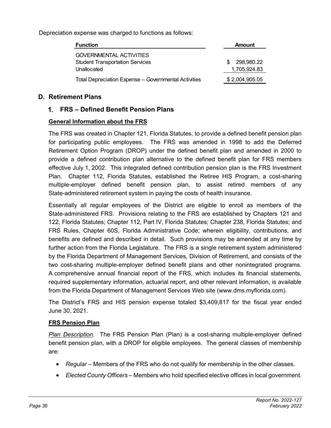Depreciation expense was charged to functions as follows:

| <b>Function</b>                                      | Amount           |
|------------------------------------------------------|------------------|
| <b>GOVERNMENTAL ACTIVITIES</b>                       |                  |
| <b>Student Transportation Services</b>               | 298,980.22<br>£. |
| Unallocated                                          | 1,705,924.83     |
| Total Depreciation Expense - Governmental Activities | \$2,004,905.05   |

#### **D. Retirement Plans**

## **FRS – Defined Benefit Pension Plans**

#### **General Information about the FRS**

The FRS was created in Chapter 121, Florida Statutes, to provide a defined benefit pension plan for participating public employees. The FRS was amended in 1998 to add the Deferred Retirement Option Program (DROP) under the defined benefit plan and amended in 2000 to provide a defined contribution plan alternative to the defined benefit plan for FRS members effective July 1, 2002. This integrated defined contribution pension plan is the FRS Investment Plan. Chapter 112, Florida Statutes, established the Retiree HIS Program, a cost-sharing multiple-employer defined benefit pension plan, to assist retired members of any State-administered retirement system in paying the costs of health insurance.

Essentially all regular employees of the District are eligible to enroll as members of the State-administered FRS. Provisions relating to the FRS are established by Chapters 121 and 122, Florida Statutes; Chapter 112, Part IV, Florida Statutes; Chapter 238, Florida Statutes; and FRS Rules, Chapter 60S, Florida Administrative Code; wherein eligibility, contributions, and benefits are defined and described in detail. Such provisions may be amended at any time by further action from the Florida Legislature. The FRS is a single retirement system administered by the Florida Department of Management Services, Division of Retirement, and consists of the two cost-sharing multiple-employer defined benefit plans and other nonintegrated programs. A comprehensive annual financial report of the FRS, which includes its financial statements, required supplementary information, actuarial report, and other relevant information, is available from the Florida Department of Management Services Web site (www.dms.myflorida.com).

The District's FRS and HIS pension expense totaled \$3,409,817 for the fiscal year ended June 30, 2021.

#### **FRS Pension Plan**

*Plan Description*. The FRS Pension Plan (Plan) is a cost-sharing multiple-employer defined benefit pension plan, with a DROP for eligible employees. The general classes of membership are:

- *Regular* Members of the FRS who do not qualify for membership in the other classes.
- *Elected County Officers* Members who hold specified elective offices in local government.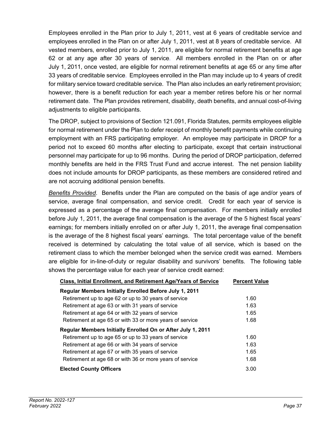Employees enrolled in the Plan prior to July 1, 2011, vest at 6 years of creditable service and employees enrolled in the Plan on or after July 1, 2011, vest at 8 years of creditable service. All vested members, enrolled prior to July 1, 2011, are eligible for normal retirement benefits at age 62 or at any age after 30 years of service. All members enrolled in the Plan on or after July 1, 2011, once vested, are eligible for normal retirement benefits at age 65 or any time after 33 years of creditable service. Employees enrolled in the Plan may include up to 4 years of credit for military service toward creditable service. The Plan also includes an early retirement provision; however, there is a benefit reduction for each year a member retires before his or her normal retirement date. The Plan provides retirement, disability, death benefits, and annual cost-of-living adjustments to eligible participants.

The DROP, subject to provisions of Section 121.091, Florida Statutes, permits employees eligible for normal retirement under the Plan to defer receipt of monthly benefit payments while continuing employment with an FRS participating employer. An employee may participate in DROP for a period not to exceed 60 months after electing to participate, except that certain instructional personnel may participate for up to 96 months. During the period of DROP participation, deferred monthly benefits are held in the FRS Trust Fund and accrue interest. The net pension liability does not include amounts for DROP participants, as these members are considered retired and are not accruing additional pension benefits.

*Benefits Provided*. Benefits under the Plan are computed on the basis of age and/or years of service, average final compensation, and service credit. Credit for each year of service is expressed as a percentage of the average final compensation. For members initially enrolled before July 1, 2011, the average final compensation is the average of the 5 highest fiscal years' earnings; for members initially enrolled on or after July 1, 2011, the average final compensation is the average of the 8 highest fiscal years' earnings. The total percentage value of the benefit received is determined by calculating the total value of all service, which is based on the retirement class to which the member belonged when the service credit was earned. Members are eligible for in-line-of-duty or regular disability and survivors' benefits. The following table shows the percentage value for each year of service credit earned:

| Class, Initial Enrollment, and Retirement Age/Years of Service | <b>Percent Value</b> |
|----------------------------------------------------------------|----------------------|
| <b>Regular Members Initially Enrolled Before July 1, 2011</b>  |                      |
| Retirement up to age 62 or up to 30 years of service           | 1.60                 |
| Retirement at age 63 or with 31 years of service               | 1.63                 |
| Retirement at age 64 or with 32 years of service               | 1.65                 |
| Retirement at age 65 or with 33 or more years of service       | 1.68                 |
| Regular Members Initially Enrolled On or After July 1, 2011    |                      |
| Retirement up to age 65 or up to 33 years of service           | 1.60                 |
| Retirement at age 66 or with 34 years of service               | 1.63                 |
| Retirement at age 67 or with 35 years of service               | 1.65                 |
| Retirement at age 68 or with 36 or more years of service       | 1.68                 |
| <b>Elected County Officers</b>                                 | 3.00                 |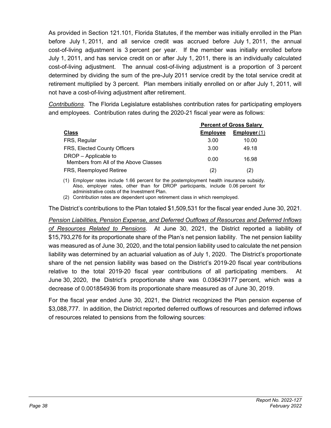As provided in Section 121.101, Florida Statutes, if the member was initially enrolled in the Plan before July 1, 2011, and all service credit was accrued before July 1, 2011, the annual cost-of-living adjustment is 3 percent per year. If the member was initially enrolled before July 1, 2011, and has service credit on or after July 1, 2011, there is an individually calculated cost-of-living adjustment. The annual cost-of-living adjustment is a proportion of 3 percent determined by dividing the sum of the pre-July 2011 service credit by the total service credit at retirement multiplied by 3 percent. Plan members initially enrolled on or after July 1, 2011, will not have a cost-of-living adjustment after retirement.

*Contributions*. The Florida Legislature establishes contribution rates for participating employers and employees. Contribution rates during the 2020-21 fiscal year were as follows:

|                                                               | <b>Percent of Gross Salary</b> |             |  |  |
|---------------------------------------------------------------|--------------------------------|-------------|--|--|
| <b>Class</b>                                                  | <b>Employee</b>                | Emplover(1) |  |  |
| FRS, Regular                                                  | 3.00                           | 10.00       |  |  |
| FRS, Elected County Officers                                  | 3.00                           | 49.18       |  |  |
| DROP - Applicable to<br>Members from All of the Above Classes | 0.00                           | 16.98       |  |  |
| FRS, Reemployed Retiree                                       | (2)                            | (2)         |  |  |

(1) Employer rates include 1.66 percent for the postemployment health insurance subsidy. Also, employer rates, other than for DROP participants, include 0.06 percent for administrative costs of the Investment Plan.

(2) Contribution rates are dependent upon retirement class in which reemployed.

The District's contributions to the Plan totaled \$1,509,531 for the fiscal year ended June 30, 2021.

*Pension Liabilities, Pension Expense, and Deferred Outflows of Resources and Deferred Inflows of Resources Related to Pensions*. At June 30, 2021, the District reported a liability of \$15,793,276 for its proportionate share of the Plan's net pension liability. The net pension liability was measured as of June 30, 2020, and the total pension liability used to calculate the net pension liability was determined by an actuarial valuation as of July 1, 2020. The District's proportionate share of the net pension liability was based on the District's 2019-20 fiscal year contributions relative to the total 2019-20 fiscal year contributions of all participating members. At June 30, 2020, the District's proportionate share was 0.036439177 percent, which was a decrease of 0.001854936 from its proportionate share measured as of June 30, 2019.

For the fiscal year ended June 30, 2021, the District recognized the Plan pension expense of \$3,088,777. In addition, the District reported deferred outflows of resources and deferred inflows of resources related to pensions from the following sources: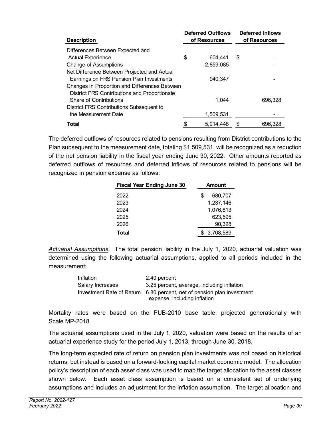| <b>Description</b>                            | <b>Deferred Outflows</b><br>of Resources | <b>Deferred Inflows</b><br>of Resources |
|-----------------------------------------------|------------------------------------------|-----------------------------------------|
|                                               |                                          |                                         |
| Differences Between Expected and              |                                          |                                         |
| <b>Actual Experience</b>                      | \$<br>604.441                            | \$                                      |
| <b>Change of Assumptions</b>                  | 2,859,085                                |                                         |
| Net Difference Between Projected and Actual   |                                          |                                         |
| Earnings on FRS Pension Plan Investments      | 940,347                                  |                                         |
| Changes in Proportion and Differences Between |                                          |                                         |
| District FRS Contributions and Proportionate  |                                          |                                         |
| Share of Contributions                        | 1,044                                    | 696,328                                 |
| District FRS Contributions Subsequent to      |                                          |                                         |
| the Measurement Date                          | 1,509,531                                |                                         |
| Total                                         | 5,914,448                                | \$<br>696,328                           |

The deferred outflows of resources related to pensions resulting from District contributions to the Plan subsequent to the measurement date, totaling \$1,509,531, will be recognized as a reduction of the net pension liability in the fiscal year ending June 30, 2022. Other amounts reported as deferred outflows of resources and deferred inflows of resources related to pensions will be recognized in pension expense as follows:

| <b>Fiscal Year Ending June 30</b> | <b>Amount</b> |
|-----------------------------------|---------------|
| 2022                              | 680,707<br>S  |
| 2023                              | 1,237,146     |
| 2024                              | 1,076,813     |
| 2025                              | 623,595       |
| 2026                              | 90,328        |
| Total                             | 3,708,589     |

*Actuarial Assumptions*. The total pension liability in the July 1, 2020, actuarial valuation was determined using the following actuarial assumptions, applied to all periods included in the measurement:

| Inflation        | 2.40 percent                                                           |
|------------------|------------------------------------------------------------------------|
| Salary Increases | 3.25 percent, average, including inflation                             |
|                  | Investment Rate of Return 6.80 percent, net of pension plan investment |
|                  | expense, including inflation                                           |

Mortality rates were based on the PUB-2010 base table, projected generationally with Scale MP-2018.

The actuarial assumptions used in the July 1, 2020, valuation were based on the results of an actuarial experience study for the period July 1, 2013, through June 30, 2018.

The long-term expected rate of return on pension plan investments was not based on historical returns, but instead is based on a forward-looking capital market economic model. The allocation policy's description of each asset class was used to map the target allocation to the asset classes shown below. Each asset class assumption is based on a consistent set of underlying assumptions and includes an adjustment for the inflation assumption. The target allocation and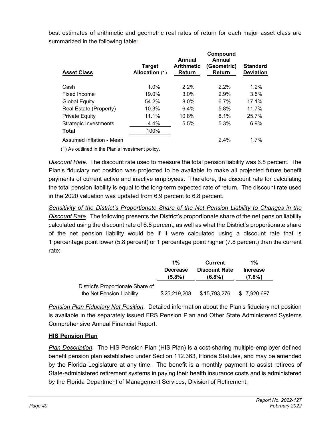best estimates of arithmetic and geometric real rates of return for each major asset class are summarized in the following table:

| <b>Asset Class</b>           | <b>Target</b><br>Allocation (1) | Annual<br><b>Arithmetic</b><br>Return | Compound<br>Annual<br>(Geometric)<br>Return | <b>Standard</b><br><b>Deviation</b> |
|------------------------------|---------------------------------|---------------------------------------|---------------------------------------------|-------------------------------------|
| Cash                         | 1.0%                            | $2.2\%$                               | $2.2\%$                                     | 1.2%                                |
| Fixed Income                 | 19.0%                           | 3.0%                                  | 2.9%                                        | 3.5%                                |
| <b>Global Equity</b>         | 54.2%                           | 8.0%                                  | 6.7%                                        | 17.1%                               |
| Real Estate (Property)       | 10.3%                           | 6.4%                                  | 5.8%                                        | 11.7%                               |
| <b>Private Equity</b>        | 11.1%                           | 10.8%                                 | 8.1%                                        | 25.7%                               |
| <b>Strategic Investments</b> | 4.4%                            | 5.5%                                  | 5.3%                                        | 6.9%                                |
| Total                        | 100%                            |                                       |                                             |                                     |
| Assumed inflation - Mean     |                                 |                                       | 2.4%                                        | $1.7\%$                             |

(1) As outlined in the Plan's investment policy.

*Discount Rate*. The discount rate used to measure the total pension liability was 6.8 percent. The Plan's fiduciary net position was projected to be available to make all projected future benefit payments of current active and inactive employees. Therefore, the discount rate for calculating the total pension liability is equal to the long-term expected rate of return. The discount rate used in the 2020 valuation was updated from 6.9 percent to 6.8 percent.

*Sensitivity of the District's Proportionate Share of the Net Pension Liability to Changes in the Discount Rate*. The following presents the District's proportionate share of the net pension liability calculated using the discount rate of 6.8 percent, as well as what the District's proportionate share of the net pension liability would be if it were calculated using a discount rate that is 1 percentage point lower (5.8 percent) or 1 percentage point higher (7.8 percent) than the current rate:

|                                   | 1%                        | <b>Current</b>                 | $1\%$                     |
|-----------------------------------|---------------------------|--------------------------------|---------------------------|
|                                   | <b>Decrease</b><br>(5.8%) | <b>Discount Rate</b><br>(6.8%) | <b>Increase</b><br>(7.8%) |
| District's Proportionate Share of |                           |                                |                           |
| the Net Pension Liability         | \$25,219,208              | \$15,793,276                   | \$7,920,697               |

*Pension Plan Fiduciary Net Position*. Detailed information about the Plan's fiduciary net position is available in the separately issued FRS Pension Plan and Other State Administered Systems Comprehensive Annual Financial Report.

#### **HIS Pension Plan**

*Plan Description*. The HIS Pension Plan (HIS Plan) is a cost-sharing multiple-employer defined benefit pension plan established under Section 112.363, Florida Statutes, and may be amended by the Florida Legislature at any time. The benefit is a monthly payment to assist retirees of State-administered retirement systems in paying their health insurance costs and is administered by the Florida Department of Management Services, Division of Retirement.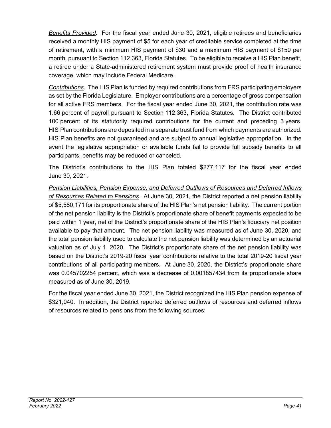*Benefits Provided*. For the fiscal year ended June 30, 2021, eligible retirees and beneficiaries received a monthly HIS payment of \$5 for each year of creditable service completed at the time of retirement, with a minimum HIS payment of \$30 and a maximum HIS payment of \$150 per month, pursuant to Section 112.363, Florida Statutes. To be eligible to receive a HIS Plan benefit, a retiree under a State-administered retirement system must provide proof of health insurance coverage, which may include Federal Medicare.

*Contributions*. The HIS Plan is funded by required contributions from FRS participating employers as set by the Florida Legislature. Employer contributions are a percentage of gross compensation for all active FRS members. For the fiscal year ended June 30, 2021, the contribution rate was 1.66 percent of payroll pursuant to Section 112.363, Florida Statutes. The District contributed 100 percent of its statutorily required contributions for the current and preceding 3 years. HIS Plan contributions are deposited in a separate trust fund from which payments are authorized. HIS Plan benefits are not guaranteed and are subject to annual legislative appropriation. In the event the legislative appropriation or available funds fail to provide full subsidy benefits to all participants, benefits may be reduced or canceled.

The District's contributions to the HIS Plan totaled \$277,117 for the fiscal year ended June 30, 2021.

*Pension Liabilities, Pension Expense, and Deferred Outflows of Resources and Deferred Inflows of Resources Related to Pensions*. At June 30, 2021, the District reported a net pension liability of \$5,580,171 for its proportionate share of the HIS Plan's net pension liability. The current portion of the net pension liability is the District's proportionate share of benefit payments expected to be paid within 1 year, net of the District's proportionate share of the HIS Plan's fiduciary net position available to pay that amount. The net pension liability was measured as of June 30, 2020, and the total pension liability used to calculate the net pension liability was determined by an actuarial valuation as of July 1, 2020. The District's proportionate share of the net pension liability was based on the District's 2019-20 fiscal year contributions relative to the total 2019-20 fiscal year contributions of all participating members. At June 30, 2020, the District's proportionate share was 0.045702254 percent, which was a decrease of 0.001857434 from its proportionate share measured as of June 30, 2019.

For the fiscal year ended June 30, 2021, the District recognized the HIS Plan pension expense of \$321,040. In addition, the District reported deferred outflows of resources and deferred inflows of resources related to pensions from the following sources: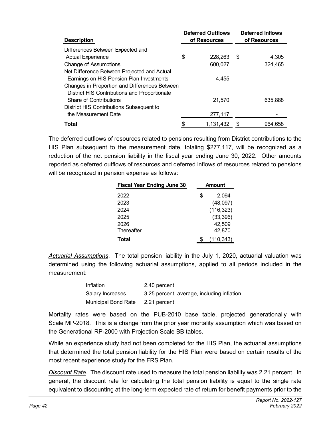|                                               | <b>Deferred Outflows</b> |              | <b>Deferred Inflows</b> |
|-----------------------------------------------|--------------------------|--------------|-------------------------|
| <b>Description</b>                            | of Resources             | of Resources |                         |
| Differences Between Expected and              |                          |              |                         |
| <b>Actual Experience</b>                      | \$<br>228,263            | \$           | 4,305                   |
| Change of Assumptions                         | 600,027                  |              | 324,465                 |
| Net Difference Between Projected and Actual   |                          |              |                         |
| Earnings on HIS Pension Plan Investments      | 4,455                    |              |                         |
| Changes in Proportion and Differences Between |                          |              |                         |
| District HIS Contributions and Proportionate  |                          |              |                         |
| <b>Share of Contributions</b>                 | 21,570                   |              | 635,888                 |
| District HIS Contributions Subsequent to      |                          |              |                         |
| the Measurement Date                          | 277,117                  |              |                         |
| Total                                         | \$<br>1,131,432          | \$           | 964,658                 |

The deferred outflows of resources related to pensions resulting from District contributions to the HIS Plan subsequent to the measurement date, totaling \$277,117, will be recognized as a reduction of the net pension liability in the fiscal year ending June 30, 2022. Other amounts reported as deferred outflows of resources and deferred inflows of resources related to pensions will be recognized in pension expense as follows:

| <b>Fiscal Year Ending June 30</b> | Amount |            |  |
|-----------------------------------|--------|------------|--|
| 2022                              | \$     | 2.094      |  |
| 2023                              |        | (48,097)   |  |
| 2024                              |        | (116, 323) |  |
| 2025                              |        | (33, 396)  |  |
| 2026                              |        | 42,509     |  |
| Thereafter                        |        | 42,870     |  |
| Total                             |        | (110,343)  |  |

*Actuarial Assumptions*. The total pension liability in the July 1, 2020, actuarial valuation was determined using the following actuarial assumptions, applied to all periods included in the measurement:

| Inflation           | 2.40 percent                               |
|---------------------|--------------------------------------------|
| Salary Increases    | 3.25 percent, average, including inflation |
| Municipal Bond Rate | 2.21 percent                               |

Mortality rates were based on the PUB-2010 base table, projected generationally with Scale MP-2018. This is a change from the prior year mortality assumption which was based on the Generational RP-2000 with Projection Scale BB tables.

While an experience study had not been completed for the HIS Plan, the actuarial assumptions that determined the total pension liability for the HIS Plan were based on certain results of the most recent experience study for the FRS Plan.

*Discount Rate*. The discount rate used to measure the total pension liability was 2.21 percent. In general, the discount rate for calculating the total pension liability is equal to the single rate equivalent to discounting at the long-term expected rate of return for benefit payments prior to the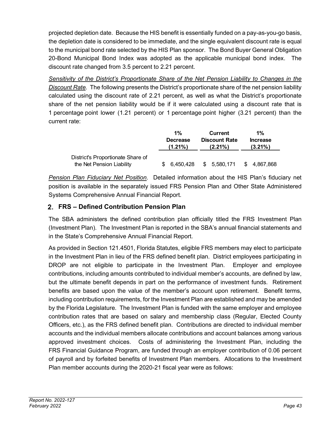projected depletion date. Because the HIS benefit is essentially funded on a pay-as-you-go basis, the depletion date is considered to be immediate, and the single equivalent discount rate is equal to the municipal bond rate selected by the HIS Plan sponsor. The Bond Buyer General Obligation 20-Bond Municipal Bond Index was adopted as the applicable municipal bond index. The discount rate changed from 3.5 percent to 2.21 percent.

*Sensitivity of the District's Proportionate Share of the Net Pension Liability to Changes in the Discount Rate*. The following presents the District's proportionate share of the net pension liability calculated using the discount rate of 2.21 percent, as well as what the District's proportionate share of the net pension liability would be if it were calculated using a discount rate that is 1 percentage point lower (1.21 percent) or 1 percentage point higher (3.21 percent) than the current rate:

|                                                                | $1\%$<br><b>Decrease</b><br>$(1.21\%)$ | <b>Current</b><br><b>Discount Rate</b><br>$(2.21\%)$ |     | $1\%$<br><b>Increase</b><br>$(3.21\%)$ |
|----------------------------------------------------------------|----------------------------------------|------------------------------------------------------|-----|----------------------------------------|
| District's Proportionate Share of<br>the Net Pension Liability | \$ 6.450.428                           | \$ 5.580.171                                         | -SS | 4,867,868                              |

*Pension Plan Fiduciary Net Position*. Detailed information about the HIS Plan's fiduciary net position is available in the separately issued FRS Pension Plan and Other State Administered Systems Comprehensive Annual Financial Report.

## **FRS – Defined Contribution Pension Plan**

The SBA administers the defined contribution plan officially titled the FRS Investment Plan (Investment Plan). The Investment Plan is reported in the SBA's annual financial statements and in the State's Comprehensive Annual Financial Report.

As provided in Section 121.4501, Florida Statutes, eligible FRS members may elect to participate in the Investment Plan in lieu of the FRS defined benefit plan. District employees participating in DROP are not eligible to participate in the Investment Plan. Employer and employee contributions, including amounts contributed to individual member's accounts, are defined by law, but the ultimate benefit depends in part on the performance of investment funds. Retirement benefits are based upon the value of the member's account upon retirement. Benefit terms, including contribution requirements, for the Investment Plan are established and may be amended by the Florida Legislature. The Investment Plan is funded with the same employer and employee contribution rates that are based on salary and membership class (Regular, Elected County Officers, etc.), as the FRS defined benefit plan. Contributions are directed to individual member accounts and the individual members allocate contributions and account balances among various approved investment choices. Costs of administering the Investment Plan, including the FRS Financial Guidance Program, are funded through an employer contribution of 0.06 percent of payroll and by forfeited benefits of Investment Plan members. Allocations to the Investment Plan member accounts during the 2020-21 fiscal year were as follows: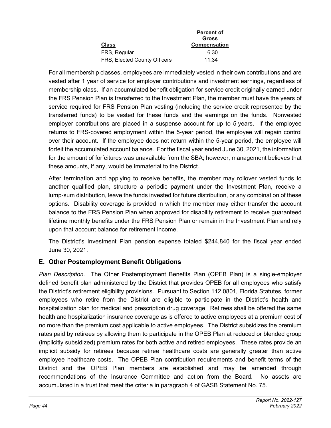|                              | <b>Percent of</b> |
|------------------------------|-------------------|
|                              | <b>Gross</b>      |
| <b>Class</b>                 | Compensation      |
| FRS, Regular                 | 6.30              |
| FRS, Elected County Officers | 11.34             |

For all membership classes, employees are immediately vested in their own contributions and are vested after 1 year of service for employer contributions and investment earnings, regardless of membership class. If an accumulated benefit obligation for service credit originally earned under the FRS Pension Plan is transferred to the Investment Plan, the member must have the years of service required for FRS Pension Plan vesting (including the service credit represented by the transferred funds) to be vested for these funds and the earnings on the funds. Nonvested employer contributions are placed in a suspense account for up to 5 years. If the employee returns to FRS-covered employment within the 5-year period, the employee will regain control over their account. If the employee does not return within the 5-year period, the employee will forfeit the accumulated account balance. For the fiscal year ended June 30, 2021, the information for the amount of forfeitures was unavailable from the SBA; however, management believes that these amounts, if any, would be immaterial to the District.

After termination and applying to receive benefits, the member may rollover vested funds to another qualified plan, structure a periodic payment under the Investment Plan, receive a lump-sum distribution, leave the funds invested for future distribution, or any combination of these options. Disability coverage is provided in which the member may either transfer the account balance to the FRS Pension Plan when approved for disability retirement to receive guaranteed lifetime monthly benefits under the FRS Pension Plan or remain in the Investment Plan and rely upon that account balance for retirement income.

The District's Investment Plan pension expense totaled \$244,840 for the fiscal year ended June 30, 2021.

## **E. Other Postemployment Benefit Obligations**

*Plan Description*. The Other Postemployment Benefits Plan (OPEB Plan) is a single-employer defined benefit plan administered by the District that provides OPEB for all employees who satisfy the District's retirement eligibility provisions. Pursuant to Section 112.0801, Florida Statutes, former employees who retire from the District are eligible to participate in the District's health and hospitalization plan for medical and prescription drug coverage. Retirees shall be offered the same health and hospitalization insurance coverage as is offered to active employees at a premium cost of no more than the premium cost applicable to active employees. The District subsidizes the premium rates paid by retirees by allowing them to participate in the OPEB Plan at reduced or blended group (implicitly subsidized) premium rates for both active and retired employees. These rates provide an implicit subsidy for retirees because retiree healthcare costs are generally greater than active employee healthcare costs. The OPEB Plan contribution requirements and benefit terms of the District and the OPEB Plan members are established and may be amended through recommendations of the Insurance Committee and action from the Board. No assets are accumulated in a trust that meet the criteria in paragraph 4 of GASB Statement No. 75.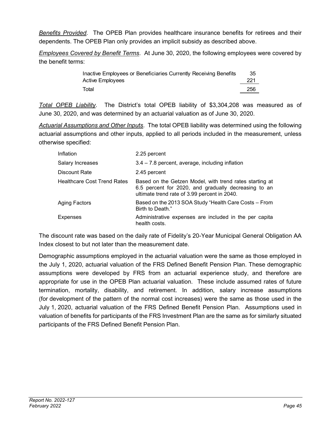*Benefits Provided*.The OPEB Plan provides healthcare insurance benefits for retirees and their dependents. The OPEB Plan only provides an implicit subsidy as described above.

*Employees Covered by Benefit Terms*. At June 30, 2020, the following employees were covered by the benefit terms:

| Inactive Employees or Beneficiaries Currently Receiving Benefits | 35  |
|------------------------------------------------------------------|-----|
| Active Employees                                                 | 221 |
| Total                                                            | 256 |

*Total OPEB Liability*. The District's total OPEB liability of \$3,304,208 was measured as of June 30, 2020, and was determined by an actuarial valuation as of June 30, 2020.

*Actuarial Assumptions and Other Inputs*. The total OPEB liability was determined using the following actuarial assumptions and other inputs, applied to all periods included in the measurement, unless otherwise specified:

| Inflation                          | 2.25 percent                                                                                                                                                    |
|------------------------------------|-----------------------------------------------------------------------------------------------------------------------------------------------------------------|
| Salary Increases                   | $3.4 - 7.8$ percent, average, including inflation                                                                                                               |
| Discount Rate                      | 2.45 percent                                                                                                                                                    |
| <b>Healthcare Cost Trend Rates</b> | Based on the Getzen Model, with trend rates starting at<br>6.5 percent for 2020, and gradually decreasing to an<br>ultimate trend rate of 3.99 percent in 2040. |
| Aging Factors                      | Based on the 2013 SOA Study "Health Care Costs – From<br>Birth to Death."                                                                                       |
| <b>Expenses</b>                    | Administrative expenses are included in the per capita<br>health costs.                                                                                         |

The discount rate was based on the daily rate of Fidelity's 20-Year Municipal General Obligation AA Index closest to but not later than the measurement date.

Demographic assumptions employed in the actuarial valuation were the same as those employed in the July 1, 2020, actuarial valuation of the FRS Defined Benefit Pension Plan. These demographic assumptions were developed by FRS from an actuarial experience study, and therefore are appropriate for use in the OPEB Plan actuarial valuation. These include assumed rates of future termination, mortality, disability, and retirement. In addition, salary increase assumptions (for development of the pattern of the normal cost increases) were the same as those used in the July 1, 2020, actuarial valuation of the FRS Defined Benefit Pension Plan. Assumptions used in valuation of benefits for participants of the FRS Investment Plan are the same as for similarly situated participants of the FRS Defined Benefit Pension Plan.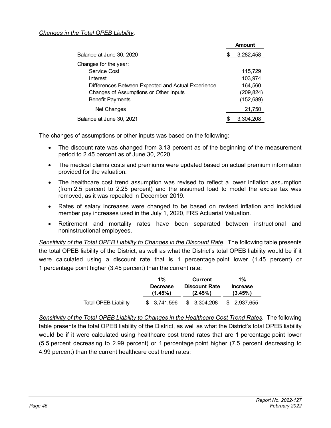#### *Changes in the Total OPEB Liability*.

|                                                    | <b>Amount</b>   |
|----------------------------------------------------|-----------------|
| Balance at June 30, 2020                           | \$<br>3,282,458 |
| Changes for the year:                              |                 |
| Service Cost                                       | 115,729         |
| Interest                                           | 103,974         |
| Differences Between Expected and Actual Experience | 164,560         |
| Changes of Assumptions or Other Inputs             | (209,824)       |
| <b>Benefit Payments</b>                            | (152,689)       |
| Net Changes                                        | 21,750          |
| Balance at June 30, 2021                           | 3,304,208       |

The changes of assumptions or other inputs was based on the following:

- The discount rate was changed from 3.13 percent as of the beginning of the measurement period to 2.45 percent as of June 30, 2020.
- The medical claims costs and premiums were updated based on actual premium information provided for the valuation.
- The healthcare cost trend assumption was revised to reflect a lower inflation assumption (from 2.5 percent to 2.25 percent) and the assumed load to model the excise tax was removed, as it was repealed in December 2019.
- Rates of salary increases were changed to be based on revised inflation and individual member pay increases used in the July 1, 2020, FRS Actuarial Valuation.
- Retirement and mortality rates have been separated between instructional and noninstructional employees.

*Sensitivity of the Total OPEB Liability to Changes in the Discount Rate*. The following table presents the total OPEB liability of the District, as well as what the District's total OPEB liability would be if it were calculated using a discount rate that is 1 percentage point lower (1.45 percent) or 1 percentage point higher (3.45 percent) than the current rate:

|                             | $1\%$                         | Current                            | $1\%$<br><b>Increase</b><br>$(3.45\%)$ |  |
|-----------------------------|-------------------------------|------------------------------------|----------------------------------------|--|
|                             | <b>Decrease</b><br>$(1.45\%)$ | <b>Discount Rate</b><br>$(2.45\%)$ |                                        |  |
| <b>Total OPEB Liability</b> | \$ 3.741.596                  | \$ 3,304,208                       | \$ 2.937.655                           |  |

*Sensitivity of the Total OPEB Liability to Changes in the Healthcare Cost Trend Rates*. The following table presents the total OPEB liability of the District, as well as what the District's total OPEB liability would be if it were calculated using healthcare cost trend rates that are 1 percentage point lower (5.5 percent decreasing to 2.99 percent) or 1 percentage point higher (7.5 percent decreasing to 4.99 percent) than the current healthcare cost trend rates: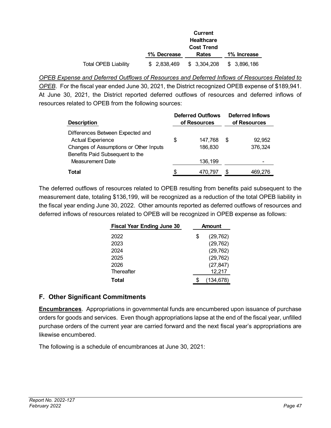|                             | 1% Decrease | <b>Rates</b> | 1% Increase  |
|-----------------------------|-------------|--------------|--------------|
| <b>Total OPEB Liability</b> | \$2,838,469 | \$ 3,304,208 | \$ 3,896,186 |

*OPEB Expense and Deferred Outflows of Resources and Deferred Inflows of Resources Related to OPEB*. For the fiscal year ended June 30, 2021, the District recognized OPEB expense of \$189,941. At June 30, 2021, the District reported deferred outflows of resources and deferred inflows of resources related to OPEB from the following sources:

| <b>Description</b>                                                                                                                        |    | <b>Deferred Outflows</b><br>of Resources | <b>Deferred Inflows</b><br>of Resources |                   |
|-------------------------------------------------------------------------------------------------------------------------------------------|----|------------------------------------------|-----------------------------------------|-------------------|
| Differences Between Expected and<br><b>Actual Experience</b><br>Changes of Assumptions or Other Inputs<br>Benefits Paid Subsequent to the | \$ | 147,768<br>186,830                       | S                                       | 92,952<br>376,324 |
| Measurement Date                                                                                                                          |    | 136,199                                  |                                         |                   |
| Total                                                                                                                                     | S  | 470,797                                  | S                                       | 469.276           |

The deferred outflows of resources related to OPEB resulting from benefits paid subsequent to the measurement date, totaling \$136,199, will be recognized as a reduction of the total OPEB liability in the fiscal year ending June 30, 2022. Other amounts reported as deferred outflows of resources and deferred inflows of resources related to OPEB will be recognized in OPEB expense as follows:

| <b>Fiscal Year Ending June 30</b> | <b>Amount</b>   |  |  |
|-----------------------------------|-----------------|--|--|
| 2022                              | \$<br>(29, 762) |  |  |
| 2023                              | (29, 762)       |  |  |
| 2024                              | (29, 762)       |  |  |
| 2025                              | (29, 762)       |  |  |
| 2026                              | (27, 847)       |  |  |
| Thereafter                        | 12,217          |  |  |
| Total                             | (134,678)       |  |  |
|                                   |                 |  |  |

## **F. Other Significant Commitments**

**Encumbrances**. Appropriations in governmental funds are encumbered upon issuance of purchase orders for goods and services. Even though appropriations lapse at the end of the fiscal year, unfilled purchase orders of the current year are carried forward and the next fiscal year's appropriations are likewise encumbered.

The following is a schedule of encumbrances at June 30, 2021: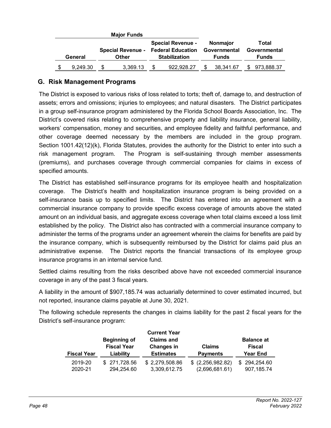|   |                                              |  | <b>Major Funds</b>                                                           |  |                                          |   |                                       |   |            |
|---|----------------------------------------------|--|------------------------------------------------------------------------------|--|------------------------------------------|---|---------------------------------------|---|------------|
|   | <b>Special Revenue -</b><br>Other<br>General |  | <b>Special Revenue -</b><br><b>Federal Education</b><br><b>Stabilization</b> |  | Nonmajor<br>Governmental<br><b>Funds</b> |   | Total<br>Governmental<br><b>Funds</b> |   |            |
| S | 9.249.30                                     |  | 3.369.13                                                                     |  | 922.928.27                               | S | 38,341.67                             | S | 973,888.37 |

## **G. Risk Management Programs**

The District is exposed to various risks of loss related to torts; theft of, damage to, and destruction of assets; errors and omissions; injuries to employees; and natural disasters. The District participates in a group self-insurance program administered by the Florida School Boards Association, Inc. The District's covered risks relating to comprehensive property and liability insurance, general liability, workers' compensation, money and securities, and employee fidelity and faithful performance, and other coverage deemed necessary by the members are included in the group program. Section 1001.42(12)(k), Florida Statutes, provides the authority for the District to enter into such a risk management program. The Program is self-sustaining through member assessments (premiums), and purchases coverage through commercial companies for claims in excess of specified amounts.

The District has established self-insurance programs for its employee health and hospitalization coverage. The District's health and hospitalization insurance program is being provided on a self-insurance basis up to specified limits. The District has entered into an agreement with a commercial insurance company to provide specific excess coverage of amounts above the stated amount on an individual basis, and aggregate excess coverage when total claims exceed a loss limit established by the policy. The District also has contracted with a commercial insurance company to administer the terms of the programs under an agreement wherein the claims for benefits are paid by the insurance company, which is subsequently reimbursed by the District for claims paid plus an administrative expense. The District reports the financial transactions of its employee group insurance programs in an internal service fund.

Settled claims resulting from the risks described above have not exceeded commercial insurance coverage in any of the past 3 fiscal years.

A liability in the amount of \$907,185.74 was actuarially determined to cover estimated incurred, but not reported, insurance claims payable at June 30, 2021.

The following schedule represents the changes in claims liability for the past 2 fiscal years for the District's self-insurance program:

|                    |                                           | <b>Current Year</b>                    |                                  |                                  |
|--------------------|-------------------------------------------|----------------------------------------|----------------------------------|----------------------------------|
|                    | <b>Beginning of</b><br><b>Fiscal Year</b> | <b>Claims and</b><br><b>Changes in</b> | <b>Claims</b>                    | <b>Balance at</b><br>Fiscal      |
| <b>Fiscal Year</b> | Liability                                 | <b>Estimates</b>                       | <b>Payments</b>                  | <b>Year End</b>                  |
| 2019-20<br>2020-21 | \$271,728.56<br>294,254.60                | \$2,279,508.86<br>3,309,612.75         | (2,256,982.82)<br>(2,696,681.61) | 294,254.60<br>\$.<br>907, 185.74 |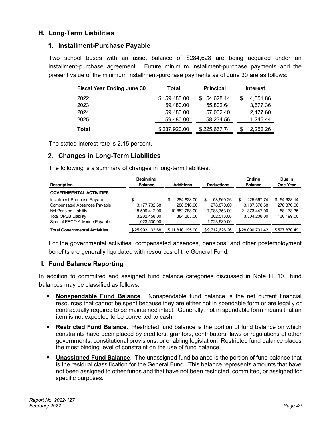## **H. Long-Term Liabilities**

## **Installment-Purchase Payable**

Two school buses with an asset balance of \$284,628 are being acquired under an installment-purchase agreement. Future minimum installment-purchase payments and the present value of the minimum installment-purchase payments as of June 30 are as follows:

| <b>Fiscal Year Ending June 30</b> | Total           | <b>Principal</b> | <b>Interest</b> |  |  |
|-----------------------------------|-----------------|------------------|-----------------|--|--|
| 2022                              | 59,480.00<br>S. | 54,628.14        | 4,851.86        |  |  |
| 2023                              | 59,480.00       | 55,802.64        | 3,677.36        |  |  |
| 2024                              | 59,480.00       | 57,002.40        | 2,477.60        |  |  |
| 2025                              | 59,480.00       | 58,234.56        | 1,245.44        |  |  |
| Total                             | \$237,920.00    | \$225,667.74     | 12,252.26       |  |  |

The stated interest rate is 2.15 percent.

## **Changes in Long-Term Liabilities**

The following is a summary of changes in long-term liabilities:

|                                      | <b>Beginning</b>               |                                       | <b>Ending</b>   | Due In          |
|--------------------------------------|--------------------------------|---------------------------------------|-----------------|-----------------|
| <b>Description</b>                   | <b>Balance</b>                 | <b>Additions</b><br><b>Deductions</b> | <b>Balance</b>  | <b>One Year</b> |
| <b>GOVERNMENTAL ACTIVITIES</b>       |                                |                                       |                 |                 |
| Installment-Purchase Payable         | \$<br>$\overline{\phantom{0}}$ | 284.628.00<br>58.960.26<br>S          | 225.667.74<br>S | \$54.628.14     |
| <b>Compensated Absences Payable</b>  | 3, 177, 732.68                 | 288.516.00<br>278.870.00              | 3.187.378.68    | 278,870.00      |
| Net Pension Liability                | 18.509.412.00                  | 10.852.788.00<br>7.988.753.00         | 21.373.447.00   | 58.173.35       |
| <b>Total OPEB Liability</b>          | 3.282.458.00                   | 384.263.00<br>362.513.00              | 3.304.208.00    | 136, 199.00     |
| Special PECO Advance Payable         | 1,023,530.00                   | 1,023,530.00                          |                 |                 |
| <b>Total Governmental Activities</b> | \$25,993,132.68                | \$9,712,626.26<br>\$11,810,195.00     | \$28,090,701.42 | \$527,870.49    |

For the governmental activities, compensated absences, pensions, and other postemployment benefits are generally liquidated with resources of the General Fund.

## **I. Fund Balance Reporting**

In addition to committed and assigned fund balance categories discussed in Note I.F.10., fund balances may be classified as follows:

- **Nonspendable Fund Balance**. Nonspendable fund balance is the net current financial resources that cannot be spent because they are either not in spendable form or are legally or contractually required to be maintained intact. Generally, not in spendable form means that an item is not expected to be converted to cash.
- **Restricted Fund Balance**. Restricted fund balance is the portion of fund balance on which constraints have been placed by creditors, grantors, contributors, laws or regulations of other governments, constitutional provisions, or enabling legislation. Restricted fund balance places the most binding level of constraint on the use of fund balance.
- **Unassigned Fund Balance**. The unassigned fund balance is the portion of fund balance that is the residual classification for the General Fund. This balance represents amounts that have not been assigned to other funds and that have not been restricted, committed, or assigned for specific purposes.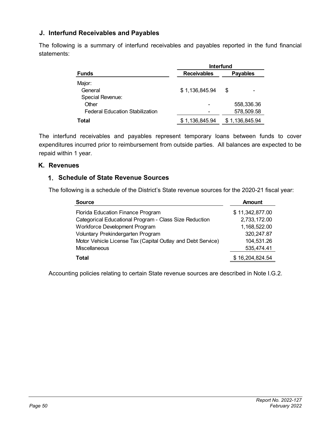## **J. Interfund Receivables and Payables**

The following is a summary of interfund receivables and payables reported in the fund financial statements:

|                                        | <b>Interfund</b>   |                 |  |  |  |
|----------------------------------------|--------------------|-----------------|--|--|--|
| <b>Funds</b>                           | <b>Receivables</b> | <b>Payables</b> |  |  |  |
| Major:                                 |                    |                 |  |  |  |
| General                                | \$1,136,845.94     | S               |  |  |  |
| Special Revenue:                       |                    |                 |  |  |  |
| Other                                  |                    | 558,336.36      |  |  |  |
| <b>Federal Education Stabilization</b> |                    | 578,509.58      |  |  |  |
| <b>Total</b>                           | \$1,136,845.94     | \$1,136,845.94  |  |  |  |

The interfund receivables and payables represent temporary loans between funds to cover expenditures incurred prior to reimbursement from outside parties. All balances are expected to be repaid within 1 year.

#### **K. Revenues**

## **Schedule of State Revenue Sources**

The following is a schedule of the District's State revenue sources for the 2020-21 fiscal year:

| <b>Source</b>                                               | <b>Amount</b>   |
|-------------------------------------------------------------|-----------------|
| Florida Education Finance Program                           | \$11,342,877.00 |
| Categorical Educational Program - Class Size Reduction      | 2,733,172.00    |
| Workforce Development Program                               | 1,168,522.00    |
| Voluntary Prekindergarten Program                           | 320,247.87      |
| Motor Vehicle License Tax (Capital Outlay and Debt Service) | 104,531.26      |
| <b>Miscellaneous</b>                                        | 535,474.41      |
| Total                                                       | \$16,204,824.54 |

Accounting policies relating to certain State revenue sources are described in Note I.G.2.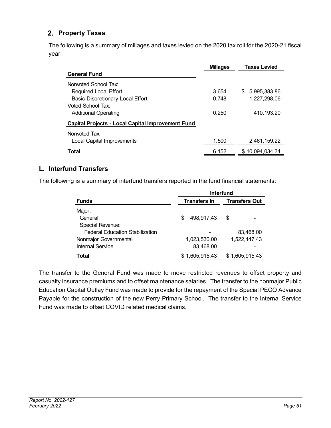## **Property Taxes**

The following is a summary of millages and taxes levied on the 2020 tax roll for the 2020-21 fiscal year:

|                                                          | <b>Millages</b> | <b>Taxes Levied</b> |
|----------------------------------------------------------|-----------------|---------------------|
| <b>General Fund</b>                                      |                 |                     |
| Nonvoted School Tax:                                     |                 |                     |
| <b>Required Local Effort</b>                             | 3.654           | 5,995,383.86<br>S   |
| <b>Basic Discretionary Local Effort</b>                  | 0.748           | 1,227,298.06        |
| Voted School Tax:                                        |                 |                     |
| <b>Additional Operating</b>                              | 0.250           | 410, 193.20         |
| <b>Capital Projects - Local Capital Improvement Fund</b> |                 |                     |
| Nonvoted Tax:                                            |                 |                     |
| Local Capital Improvements                               | 1.500           | 2,461,159.22        |
| Total                                                    | 6.152           | \$10.094.034.34     |

## **L. Interfund Transfers**

The following is a summary of interfund transfers reported in the fund financial statements:

|                                        | <b>Interfund</b>    |                      |  |  |  |
|----------------------------------------|---------------------|----------------------|--|--|--|
| <b>Funds</b>                           | <b>Transfers In</b> | <b>Transfers Out</b> |  |  |  |
| Major:                                 |                     |                      |  |  |  |
| General                                | 498,917.43<br>S     | \$                   |  |  |  |
| Special Revenue:                       |                     |                      |  |  |  |
| <b>Federal Education Stabilization</b> |                     | 83,468.00            |  |  |  |
| Nonmajor Governmental                  | 1,023,530.00        | 1,522,447.43         |  |  |  |
| <b>Internal Service</b>                | 83,468.00           |                      |  |  |  |
| Total                                  | \$1,605,915.43      | \$1,605,915.43       |  |  |  |

The transfer to the General Fund was made to move restricted revenues to offset property and casualty insurance premiums and to offset maintenance salaries. The transfer to the nonmajor Public Education Capital Outlay Fund was made to provide for the repayment of the Special PECO Advance Payable for the construction of the new Perry Primary School. The transfer to the Internal Service Fund was made to offset COVID related medical claims.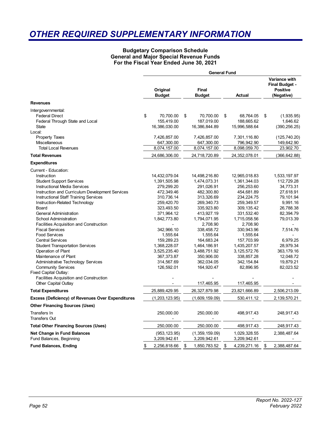# *OTHER REQUIRED SUPPLEMENTARY INFORMATION*

#### **Budgetary Comparison Schedule General and Major Special Revenue Funds For the Fiscal Year Ended June 30, 2021**

|                                                                                                                                                                                                                                                                                                                                                                                                                                                                                                                                                                                                                                                                                               |                                                                                                                                                                                                                                                     | <b>General Fund</b>                                                                                                                                                                                                                                                           |                                                                                                                                                                                                                                                                                     |                                                                                                                                                                                                                  |  |
|-----------------------------------------------------------------------------------------------------------------------------------------------------------------------------------------------------------------------------------------------------------------------------------------------------------------------------------------------------------------------------------------------------------------------------------------------------------------------------------------------------------------------------------------------------------------------------------------------------------------------------------------------------------------------------------------------|-----------------------------------------------------------------------------------------------------------------------------------------------------------------------------------------------------------------------------------------------------|-------------------------------------------------------------------------------------------------------------------------------------------------------------------------------------------------------------------------------------------------------------------------------|-------------------------------------------------------------------------------------------------------------------------------------------------------------------------------------------------------------------------------------------------------------------------------------|------------------------------------------------------------------------------------------------------------------------------------------------------------------------------------------------------------------|--|
|                                                                                                                                                                                                                                                                                                                                                                                                                                                                                                                                                                                                                                                                                               | Original<br><b>Budget</b>                                                                                                                                                                                                                           | <b>Final</b><br><b>Budget</b>                                                                                                                                                                                                                                                 | Actual                                                                                                                                                                                                                                                                              | Variance with<br><b>Final Budget -</b><br><b>Positive</b><br>(Negative)                                                                                                                                          |  |
| <b>Revenues</b>                                                                                                                                                                                                                                                                                                                                                                                                                                                                                                                                                                                                                                                                               |                                                                                                                                                                                                                                                     |                                                                                                                                                                                                                                                                               |                                                                                                                                                                                                                                                                                     |                                                                                                                                                                                                                  |  |
| Intergovernmental:<br><b>Federal Direct</b><br>Federal Through State and Local<br><b>State</b><br>Local:<br>Property Taxes<br>Miscellaneous                                                                                                                                                                                                                                                                                                                                                                                                                                                                                                                                                   | \$<br>70,700.00<br>155,419.00<br>16,386,030.00<br>7,426,857.00<br>647,300.00                                                                                                                                                                        | \$<br>70,700.00<br>187,019.00<br>16,386,844.89<br>7,426,857.00<br>647,300.00                                                                                                                                                                                                  | \$<br>68,764.05<br>188,665.62<br>15,996,588.64<br>7,301,116.80<br>796,942.90                                                                                                                                                                                                        | \$<br>(1,935.95)<br>1,646.62<br>(390,256.25)<br>(125, 740.20)<br>149,642.90                                                                                                                                      |  |
| <b>Total Local Revenues</b>                                                                                                                                                                                                                                                                                                                                                                                                                                                                                                                                                                                                                                                                   | 8,074,157.00                                                                                                                                                                                                                                        | 8,074,157.00                                                                                                                                                                                                                                                                  | 8,098,059.70                                                                                                                                                                                                                                                                        | 23,902.70                                                                                                                                                                                                        |  |
| <b>Total Revenues</b>                                                                                                                                                                                                                                                                                                                                                                                                                                                                                                                                                                                                                                                                         | 24,686,306.00                                                                                                                                                                                                                                       | 24,718,720.89                                                                                                                                                                                                                                                                 | 24,352,078.01                                                                                                                                                                                                                                                                       | (366, 642.88)                                                                                                                                                                                                    |  |
| <b>Expenditures</b>                                                                                                                                                                                                                                                                                                                                                                                                                                                                                                                                                                                                                                                                           |                                                                                                                                                                                                                                                     |                                                                                                                                                                                                                                                                               |                                                                                                                                                                                                                                                                                     |                                                                                                                                                                                                                  |  |
| Current - Education:<br>Instruction<br><b>Student Support Services</b><br>Instructional Media Services<br>Instruction and Curriculum Development Services<br>Instructional Staff Training Services<br>Instruction-Related Technology<br>Board<br><b>General Administration</b><br>School Administration<br><b>Facilities Acquisition and Construction</b><br><b>Fiscal Services</b><br><b>Food Services</b><br><b>Central Services</b><br><b>Student Transportation Services</b><br>Operation of Plant<br>Maintenance of Plant<br>Administrative Technology Services<br><b>Community Services</b><br>Fixed Capital Outlay:<br>Facilities Acquisition and Construction<br>Other Capital Outlay | 14,432,079.04<br>1,391,505.98<br>279,299.20<br>472,349.46<br>310,736.14<br>259,420.70<br>323,493.50<br>371,964.12<br>1,842,773.80<br>342,966.10<br>1,555.64<br>159,289.23<br>1,368,228.07<br>3,525,235.40<br>367,373.87<br>314,567.69<br>126,592.01 | 14,498,216.80<br>1,474,073.31<br>291,026.91<br>482,300.80<br>313,326.69<br>269,340.73<br>335,923.80<br>413,927.19<br>1,794,071.95<br>2,708.90<br>338,458.72<br>1,555.64<br>164,683.24<br>1,464,186.91<br>3,488,751.92<br>350,906.00<br>362,034.05<br>164,920.47<br>117,465.95 | 12,965,018.83<br>1,361,344.03<br>256,253.60<br>454,681.89<br>234, 224. 75<br>259,349.57<br>309, 135.42<br>331,532.40<br>1,715,058.56<br>2,708.90<br>330,943.96<br>1,555.64<br>157,703.99<br>1,435,207.57<br>3, 125, 572. 76<br>338,857.28<br>342, 154.84<br>82,896.95<br>117,465.95 | 1,533,197.97<br>112,729.28<br>34,773.31<br>27,618.91<br>79,101.94<br>9,991.16<br>26,788.38<br>82,394.79<br>79,013.39<br>7,514.76<br>6,979.25<br>28,979.34<br>363, 179. 16<br>12,048.72<br>19,879.21<br>82,023.52 |  |
| <b>Total Expenditures</b>                                                                                                                                                                                                                                                                                                                                                                                                                                                                                                                                                                                                                                                                     | 25,889,429.95                                                                                                                                                                                                                                       | 26,327,879.98                                                                                                                                                                                                                                                                 | 23,821,666.89                                                                                                                                                                                                                                                                       | 2,506,213.09                                                                                                                                                                                                     |  |
| <b>Excess (Deficiency) of Revenues Over Expenditures</b>                                                                                                                                                                                                                                                                                                                                                                                                                                                                                                                                                                                                                                      | (1,203,123.95)                                                                                                                                                                                                                                      | (1,609,159.09)                                                                                                                                                                                                                                                                | 530,411.12                                                                                                                                                                                                                                                                          | 2,139,570.21                                                                                                                                                                                                     |  |
| <b>Other Financing Sources (Uses)</b>                                                                                                                                                                                                                                                                                                                                                                                                                                                                                                                                                                                                                                                         |                                                                                                                                                                                                                                                     |                                                                                                                                                                                                                                                                               |                                                                                                                                                                                                                                                                                     |                                                                                                                                                                                                                  |  |
| Transfers In<br><b>Transfers Out</b>                                                                                                                                                                                                                                                                                                                                                                                                                                                                                                                                                                                                                                                          | 250,000.00                                                                                                                                                                                                                                          | 250,000.00                                                                                                                                                                                                                                                                    | 498,917.43                                                                                                                                                                                                                                                                          | 248,917.43                                                                                                                                                                                                       |  |
| <b>Total Other Financing Sources (Uses)</b>                                                                                                                                                                                                                                                                                                                                                                                                                                                                                                                                                                                                                                                   | 250,000.00                                                                                                                                                                                                                                          | 250,000.00                                                                                                                                                                                                                                                                    | 498,917.43                                                                                                                                                                                                                                                                          | 248,917.43                                                                                                                                                                                                       |  |
| <b>Net Change in Fund Balances</b><br>Fund Balances, Beginning                                                                                                                                                                                                                                                                                                                                                                                                                                                                                                                                                                                                                                | (953, 123.95)<br>3,209,942.61                                                                                                                                                                                                                       | (1,359,159.09)<br>3,209,942.61                                                                                                                                                                                                                                                | 1,029,328.55<br>3,209,942.61                                                                                                                                                                                                                                                        | 2,388,487.64                                                                                                                                                                                                     |  |
| <b>Fund Balances, Ending</b>                                                                                                                                                                                                                                                                                                                                                                                                                                                                                                                                                                                                                                                                  | \$<br>2,256,818.66                                                                                                                                                                                                                                  | \$<br>1,850,783.52                                                                                                                                                                                                                                                            | \$<br>4,239,271.16                                                                                                                                                                                                                                                                  | 2,388,487.64<br>\$                                                                                                                                                                                               |  |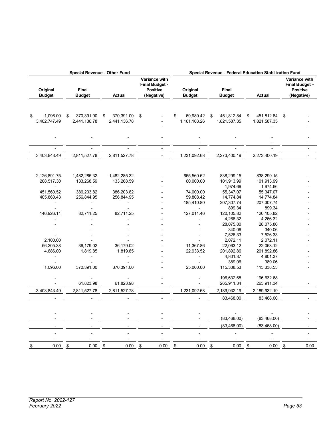|                           | Special Revenue - Other Fund  |                  |                                                                         | Special Revenue - Federal Education Stabilization Fund |                               |                            |                                                                         |
|---------------------------|-------------------------------|------------------|-------------------------------------------------------------------------|--------------------------------------------------------|-------------------------------|----------------------------|-------------------------------------------------------------------------|
| Original<br><b>Budget</b> | <b>Final</b><br><b>Budget</b> | <b>Actual</b>    | Variance with<br><b>Final Budget -</b><br><b>Positive</b><br>(Negative) | Original<br><b>Budget</b>                              | <b>Final</b><br><b>Budget</b> | <b>Actual</b>              | Variance with<br><b>Final Budget -</b><br><b>Positive</b><br>(Negative) |
| 1,096.00<br>\$            | 370,391.00<br>\$              | \$<br>370,391.00 | \$                                                                      | \$<br>69,989.42                                        | \$<br>451,812.84              | \$<br>451,812.84           | \$                                                                      |
| 3,402,747.49              | 2,441,136.78                  | 2,441,136.78     |                                                                         | 1,161,103.26                                           | 1,821,587.35                  | 1,821,587.35               |                                                                         |
|                           |                               |                  |                                                                         |                                                        |                               |                            |                                                                         |
|                           |                               |                  |                                                                         |                                                        |                               |                            |                                                                         |
|                           |                               |                  |                                                                         |                                                        |                               |                            |                                                                         |
|                           |                               |                  | $\overline{a}$                                                          |                                                        |                               |                            |                                                                         |
| 3,403,843.49              | 2,811,527.78                  | 2,811,527.78     | $\overline{\phantom{0}}$                                                | 1,231,092.68                                           | 2,273,400.19                  | 2,273,400.19               |                                                                         |
|                           |                               |                  |                                                                         |                                                        |                               |                            |                                                                         |
| 2,126,891.75              | 1,482,285.32                  | 1,482,285.32     |                                                                         | 665,560.62                                             | 838,299.15                    | 838,299.15                 |                                                                         |
| 208,517.30                | 133,268.59                    | 133,268.59       |                                                                         | 60,000.00                                              | 101,913.99                    | 101,913.99                 |                                                                         |
|                           |                               |                  |                                                                         |                                                        | 1,974.66                      | 1,974.66                   |                                                                         |
| 451,560.52                | 386,203.82                    | 386,203.82       |                                                                         | 74,000.00                                              | 55,347.07                     | 55,347.07                  |                                                                         |
| 405,860.43                | 256,844.95                    | 256,844.95       |                                                                         | 59,808.42                                              | 14,774.84                     | 14,774.84                  |                                                                         |
|                           |                               |                  |                                                                         | 185,410.80                                             | 207, 307.74                   | 207,307.74                 |                                                                         |
|                           |                               |                  |                                                                         |                                                        | 899.34                        | 899.34                     |                                                                         |
| 146,926.11                | 82,711.25                     | 82,711.25        |                                                                         | 127,011.46                                             | 120, 105.82                   | 120, 105.82                |                                                                         |
|                           |                               |                  |                                                                         |                                                        | 4,266.32                      | 4,266.32                   |                                                                         |
|                           |                               |                  |                                                                         |                                                        | 28,075.80                     | 28,075.80                  |                                                                         |
|                           |                               |                  |                                                                         |                                                        | 340.06                        | 340.06                     |                                                                         |
|                           |                               |                  |                                                                         |                                                        | 7,526.33                      | 7,526.33                   |                                                                         |
| 2,100.00                  |                               |                  |                                                                         |                                                        | 2,072.11                      | 2,072.11                   |                                                                         |
| 56,205.38                 | 36,179.02                     | 36,179.02        |                                                                         | 11,367.86                                              | 22,063.12                     | 22,063.12                  |                                                                         |
| 4,686.00                  | 1,819.85                      | 1,819.85         |                                                                         | 22,933.52                                              | 201,892.86                    | 201,892.86                 |                                                                         |
|                           |                               |                  |                                                                         |                                                        | 4,801.37                      | 4,801.37                   |                                                                         |
|                           |                               |                  |                                                                         |                                                        | 389.06                        | 389.06                     |                                                                         |
| 1,096.00                  | 370,391.00                    | 370,391.00       |                                                                         | 25,000.00                                              | 115,338.53                    | 115,338.53                 |                                                                         |
|                           |                               |                  |                                                                         |                                                        | 196,632.68                    | 196,632.68                 |                                                                         |
|                           | 61,823.98                     | 61,823.98        |                                                                         |                                                        | 265,911.34                    | 265,911.34                 |                                                                         |
| 3,403,843.49              | 2,811,527.78                  | 2,811,527.78     |                                                                         | 1,231,092.68                                           | 2,189,932.19                  | 2,189,932.19               |                                                                         |
|                           |                               |                  |                                                                         |                                                        | 83,468.00                     | 83,468.00                  |                                                                         |
|                           |                               |                  |                                                                         |                                                        |                               |                            |                                                                         |
|                           |                               |                  |                                                                         | $\overline{a}$                                         | (83, 468.00)                  | (83, 468.00)               |                                                                         |
|                           | $\mathbf{r}$                  | $\overline{a}$   | $\overline{\phantom{0}}$                                                | $\overline{a}$                                         | (83, 468.00)                  | (83, 468.00)               | $\overline{a}$                                                          |
|                           |                               |                  |                                                                         |                                                        |                               |                            |                                                                         |
|                           |                               |                  |                                                                         |                                                        |                               |                            |                                                                         |
| 0.00<br>$\frac{1}{2}$     | $\sqrt[6]{3}$<br>0.00         | \$<br>0.00       | $\frac{1}{2}$<br>0.00                                                   | $\frac{1}{2}$<br>0.00                                  | $\frac{1}{2}$<br>0.00         | $\frac{1}{2}$<br>$0.00$ \$ | 0.00                                                                    |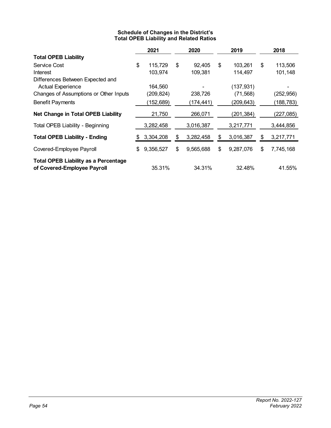#### **Schedule of Changes in the District's Total OPEB Liability and Related Ratios**

|    | 2021      |        | 2020      |        | 2019       |        | 2018       |
|----|-----------|--------|-----------|--------|------------|--------|------------|
|    |           |        |           |        |            |        |            |
| \$ | 115,729   | \$     | 92,405    | \$     | 103,261    | \$     | 113,506    |
|    | 103,974   |        | 109,381   |        | 114,497    |        | 101,148    |
|    |           |        |           |        |            |        |            |
|    | 164,560   |        |           |        | (137, 931) |        |            |
|    | (209,824) |        | 238,726   |        | (71, 568)  |        | (252, 956) |
|    | 152,689   |        | (174,441) |        | (209, 643) |        | (188, 783) |
|    | 21,750    |        | 266,071   |        | (201,384)  |        | (227, 085) |
|    | 3,282,458 |        | 3,016,387 |        | 3,217,771  |        | 3,444,856  |
| S  | 3,304,208 | \$     | 3,282,458 | \$     | 3,016,387  | \$     | 3,217,771  |
| \$ | 9,356,527 | \$     | 9,565,688 | \$     | 9,287,076  | \$     | 7,745,168  |
|    |           |        |           |        |            |        | 41.55%     |
|    |           | 35.31% |           | 34.31% |            | 32.48% |            |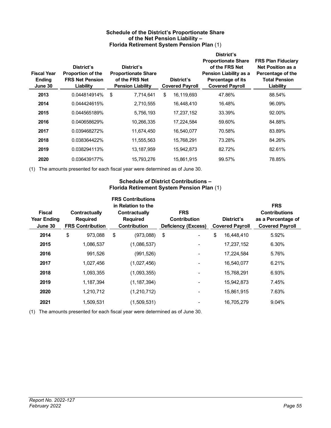#### **Schedule of the District's Proportionate Share of the Net Pension Liability – Florida Retirement System Pension Plan** (1)

| <b>Fiscal Year</b><br><b>Ending</b><br>June 30 | District's<br><b>Proportion of the</b><br><b>FRS Net Pension</b><br>Liability | District's<br><b>Proportionate Share</b><br>of the FRS Net<br><b>Pension Liability</b> | District's<br><b>Covered Payroll</b> | District's<br><b>Proportionate Share</b><br>of the FRS Net<br>Pension Liability as a<br>Percentage of its<br><b>Covered Payroll</b> | <b>FRS Plan Fiduciary</b><br>Net Position as a<br>Percentage of the<br><b>Total Pension</b><br>Liability |
|------------------------------------------------|-------------------------------------------------------------------------------|----------------------------------------------------------------------------------------|--------------------------------------|-------------------------------------------------------------------------------------------------------------------------------------|----------------------------------------------------------------------------------------------------------|
| 2013                                           | 0.044814914%                                                                  | \$<br>7,714,641                                                                        | \$<br>16,119,693                     | 47.86%                                                                                                                              | 88.54%                                                                                                   |
| 2014                                           | 0.044424615%                                                                  | 2,710,555                                                                              | 16,448,410                           | 16.48%                                                                                                                              | 96.09%                                                                                                   |
| 2015                                           | 0.044565189%                                                                  | 5,756,193                                                                              | 17,237,152                           | 33.39%                                                                                                                              | 92.00%                                                                                                   |
| 2016                                           | 0.040658629%                                                                  | 10,266,335                                                                             | 17,224,584                           | 59.60%                                                                                                                              | 84.88%                                                                                                   |
| 2017                                           | 0.039468272%                                                                  | 11,674,450                                                                             | 16,540,077                           | 70.58%                                                                                                                              | 83.89%                                                                                                   |
| 2018                                           | 0.038364422%                                                                  | 11,555,563                                                                             | 15,768,291                           | 73.28%                                                                                                                              | 84.26%                                                                                                   |
| 2019                                           | 0.038294113%                                                                  | 13,187,959                                                                             | 15,942,873                           | 82.72%                                                                                                                              | 82.61%                                                                                                   |
| 2020                                           | 0.036439177%                                                                  | 15,793,276                                                                             | 15,861,915                           | 99.57%                                                                                                                              | 78.85%                                                                                                   |

(1) The amounts presented for each fiscal year were determined as of June 30.

#### **Schedule of District Contributions – Florida Retirement System Pension Plan** (1)

| <b>Fiscal</b><br><b>Year Ending</b><br>June 30 | Contractually<br><b>Required</b><br><b>FRS Contribution</b> | <b>FRS Contributions</b><br>in Relation to the<br>Contractually<br><b>Required</b><br><b>Contribution</b> | <b>FRS</b><br><b>Contribution</b><br>Deficiency (Excess) | District's<br><b>Covered Payroll</b> | <b>FRS</b><br><b>Contributions</b><br>as a Percentage of<br><b>Covered Payroll</b> |
|------------------------------------------------|-------------------------------------------------------------|-----------------------------------------------------------------------------------------------------------|----------------------------------------------------------|--------------------------------------|------------------------------------------------------------------------------------|
| 2014                                           | \$<br>973,088                                               | (973,088)<br>\$                                                                                           | \$<br>$\overline{\phantom{a}}$                           | \$<br>16,448,410                     | 5.92%                                                                              |
| 2015                                           | 1,086,537                                                   | (1,086,537)                                                                                               |                                                          | 17,237,152                           | 6.30%                                                                              |
| 2016                                           | 991.526                                                     | (991, 526)                                                                                                |                                                          | 17,224,584                           | 5.76%                                                                              |
| 2017                                           | 1,027,456                                                   | (1,027,456)                                                                                               | $\overline{\phantom{a}}$                                 | 16,540,077                           | 6.21%                                                                              |
| 2018                                           | 1,093,355                                                   | (1,093,355)                                                                                               | $\overline{\phantom{a}}$                                 | 15,768,291                           | 6.93%                                                                              |
| 2019                                           | 1,187,394                                                   | (1, 187, 394)                                                                                             | $\blacksquare$                                           | 15,942,873                           | 7.45%                                                                              |
| 2020                                           | 1,210,712                                                   | (1, 210, 712)                                                                                             | $\overline{\phantom{a}}$                                 | 15.861.915                           | 7.63%                                                                              |
| 2021                                           | 1,509,531                                                   | (1,509,531)                                                                                               |                                                          | 16,705,279                           | 9.04%                                                                              |
|                                                |                                                             |                                                                                                           |                                                          |                                      |                                                                                    |

(1) The amounts presented for each fiscal year were determined as of June 30.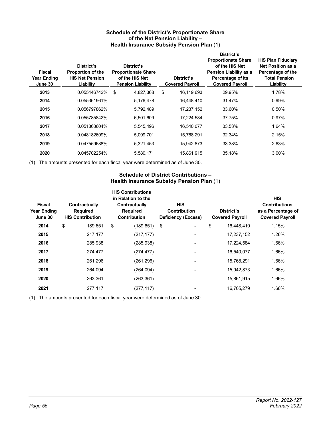#### **Schedule of the District's Proportionate Share of the Net Pension Liability – Health Insurance Subsidy Pension Plan** (1)

| <b>Fiscal</b><br><b>Year Ending</b> | District's<br><b>Proportion of the</b><br><b>HIS Net Pension</b> | District's<br><b>Proportionate Share</b><br>of the HIS Net | District's             | District's<br><b>Proportionate Share</b><br>of the HIS Net<br>Pension Liability as a<br>Percentage of its | <b>HIS Plan Fiduciary</b><br>Net Position as a<br>Percentage of the<br><b>Total Pension</b> |
|-------------------------------------|------------------------------------------------------------------|------------------------------------------------------------|------------------------|-----------------------------------------------------------------------------------------------------------|---------------------------------------------------------------------------------------------|
| June 30                             | Liability                                                        | <b>Pension Liability</b>                                   | <b>Covered Payroll</b> | <b>Covered Payroll</b>                                                                                    | Liability                                                                                   |
| 2013                                | 0.055446742%                                                     | \$<br>4,827,368                                            | \$<br>16,119,693       | 29.95%                                                                                                    | 1.78%                                                                                       |
| 2014                                | 0.055361961%                                                     | 5,176,478                                                  | 16.448.410             | 31.47%                                                                                                    | 0.99%                                                                                       |
| 2015                                | 0.056797862%                                                     | 5,792,489                                                  | 17,237,152             | 33.60%                                                                                                    | 0.50%                                                                                       |
| 2016                                | 0.055785842%                                                     | 6,501,609                                                  | 17,224,584             | 37.75%                                                                                                    | $0.97\%$                                                                                    |
| 2017                                | 0.051863604%                                                     | 5,545,496                                                  | 16,540,077             | 33.53%                                                                                                    | 1.64%                                                                                       |
| 2018                                | 0.048182609%                                                     | 5,099,701                                                  | 15,768,291             | 32.34%                                                                                                    | 2.15%                                                                                       |
| 2019                                | 0.047559688%                                                     | 5,321,453                                                  | 15,942,873             | 33.38%                                                                                                    | 2.63%                                                                                       |
| 2020                                | 0.045702254%                                                     | 5,580,171                                                  | 15,861,915             | 35.18%                                                                                                    | 3.00%                                                                                       |

(1) The amounts presented for each fiscal year were determined as of June 30.

#### **Schedule of District Contributions – Health Insurance Subsidy Pension Plan** (1)

| <b>Fiscal</b><br><b>Year Ending</b><br>June 30 | Contractually<br><b>Required</b><br><b>HIS Contribution</b> |         | <b>HIS Contributions</b><br>in Relation to the<br>Contractually<br><b>Required</b><br><b>Contribution</b> |            | <b>HIS</b><br><b>Contribution</b><br><b>Deficiency (Excess)</b> |                          | District's<br><b>Covered Payroll</b> |            | <b>HIS</b><br><b>Contributions</b><br>as a Percentage of<br><b>Covered Payroll</b> |
|------------------------------------------------|-------------------------------------------------------------|---------|-----------------------------------------------------------------------------------------------------------|------------|-----------------------------------------------------------------|--------------------------|--------------------------------------|------------|------------------------------------------------------------------------------------|
| 2014                                           | \$                                                          | 189,651 | \$                                                                                                        | (189, 651) | \$                                                              | $\overline{\phantom{a}}$ | \$                                   | 16.448.410 | 1.15%                                                                              |
| 2015                                           |                                                             | 217,177 |                                                                                                           | (217, 177) |                                                                 |                          |                                      | 17,237,152 | 1.26%                                                                              |
| 2016                                           |                                                             | 285,938 |                                                                                                           | (285, 938) |                                                                 |                          |                                      | 17,224,584 | 1.66%                                                                              |
| 2017                                           |                                                             | 274,477 |                                                                                                           | (274, 477) |                                                                 |                          |                                      | 16,540,077 | 1.66%                                                                              |
| 2018                                           |                                                             | 261,296 |                                                                                                           | (261, 296) |                                                                 |                          |                                      | 15,768,291 | 1.66%                                                                              |
| 2019                                           |                                                             | 264,094 |                                                                                                           | (264, 094) |                                                                 |                          |                                      | 15,942,873 | 1.66%                                                                              |
| 2020                                           |                                                             | 263,361 |                                                                                                           | (263, 361) |                                                                 |                          |                                      | 15,861,915 | 1.66%                                                                              |
| 2021                                           |                                                             | 277.117 |                                                                                                           | (277, 117) |                                                                 |                          |                                      | 16,705,279 | 1.66%                                                                              |

(1) The amounts presented for each fiscal year were determined as of June 30.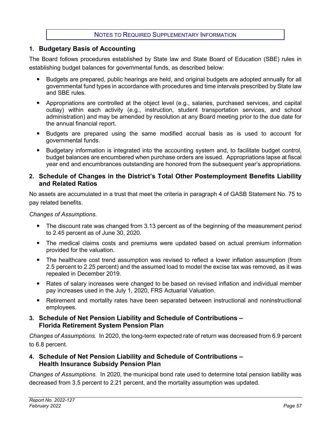#### NOTES TO REQUIRED SUPPLEMENTARY INFORMATION

#### **1. Budgetary Basis of Accounting**

The Board follows procedures established by State law and State Board of Education (SBE) rules in establishing budget balances for governmental funds, as described below:

- Budgets are prepared, public hearings are held, and original budgets are adopted annually for all governmental fund types in accordance with procedures and time intervals prescribed by State law and SBE rules.
- Appropriations are controlled at the object level (e.g., salaries, purchased services, and capital outlay) within each activity (e.g., instruction, student transportation services, and school administration) and may be amended by resolution at any Board meeting prior to the due date for the annual financial report.
- Budgets are prepared using the same modified accrual basis as is used to account for governmental funds.
- Budgetary information is integrated into the accounting system and, to facilitate budget control, budget balances are encumbered when purchase orders are issued. Appropriations lapse at fiscal year end and encumbrances outstanding are honored from the subsequent year's appropriations.

#### **2. Schedule of Changes in the District's Total Other Postemployment Benefits Liability and Related Ratios**

No assets are accumulated in a trust that meet the criteria in paragraph 4 of GASB Statement No. 75 to pay related benefits.

#### *Changes of Assumptions.*

- The discount rate was changed from 3.13 percent as of the beginning of the measurement period to 2.45 percent as of June 30, 2020.
- The medical claims costs and premiums were updated based on actual premium information provided for the valuation.
- The healthcare cost trend assumption was revised to reflect a lower inflation assumption (from 2.5 percent to 2.25 percent) and the assumed load to model the excise tax was removed, as it was repealed in December 2019.
- Rates of salary increases were changed to be based on revised inflation and individual member pay increases used in the July 1, 2020, FRS Actuarial Valuation.
- Retirement and mortality rates have been separated between instructional and noninstructional employees.

#### **3. Schedule of Net Pension Liability and Schedule of Contributions – Florida Retirement System Pension Plan**

*Changes of Assumptions.* In 2020, the long-term expected rate of return was decreased from 6.9 percent to 6.8 percent.

#### **4. Schedule of Net Pension Liability and Schedule of Contributions – Health Insurance Subsidy Pension Plan**

*Changes of Assumptions.* In 2020, the municipal bond rate used to determine total pension liability was decreased from 3.5 percent to 2.21 percent, and the mortality assumption was updated.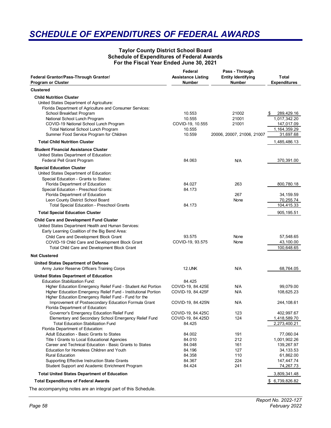## *SCHEDULE OF EXPENDITURES OF FEDERAL AWARDS*

#### **Taylor County District School Board Schedule of Expenditures of Federal Awards For the Fiscal Year Ended June 30, 2021**

| Federal Grantor/Pass-Through Grantor/<br><b>Program or Cluster</b>                                                                                      | Federal<br><b>Assistance Listing</b><br><b>Number</b> | Pass - Through<br><b>Entity Identifying</b><br><b>Number</b> | Total<br><b>Expenditures</b>     |
|---------------------------------------------------------------------------------------------------------------------------------------------------------|-------------------------------------------------------|--------------------------------------------------------------|----------------------------------|
| <b>Clustered</b>                                                                                                                                        |                                                       |                                                              |                                  |
| <b>Child Nutrition Cluster</b>                                                                                                                          |                                                       |                                                              |                                  |
| United States Department of Agriculture:<br>Florida Department of Agriculture and Consumer Services:                                                    | 10.553                                                | 21002                                                        |                                  |
| School Breakfast Program<br>National School Lunch Program                                                                                               | 10.555                                                | 21001                                                        | 289,429.16<br>\$<br>1,017,342.20 |
| COVID-19 National School Lunch Program                                                                                                                  | COVID-19, 10.555                                      | 21001                                                        | 147,017.09                       |
| <b>Total National School Lunch Program</b>                                                                                                              | 10.555                                                |                                                              | 1,164,359.29                     |
| Summer Food Service Program for Children                                                                                                                | 10.559                                                | 20006, 20007, 21006, 21007                                   | 31,697.68                        |
| <b>Total Child Nutrition Cluster</b>                                                                                                                    |                                                       |                                                              | 1,485,486.13                     |
| <b>Student Financial Assistance Cluster</b>                                                                                                             |                                                       |                                                              |                                  |
| United States Department of Education:                                                                                                                  |                                                       |                                                              |                                  |
| Federal Pell Grant Program                                                                                                                              | 84.063                                                | N/A                                                          | 370,391.00                       |
| <b>Special Education Cluster</b><br>United States Department of Education:                                                                              |                                                       |                                                              |                                  |
| Special Education - Grants to States:<br>Florida Department of Education                                                                                | 84.027                                                | 263                                                          | 800,780.18                       |
| Special Education - Preschool Grants:                                                                                                                   | 84.173                                                |                                                              |                                  |
| Florida Department of Education                                                                                                                         |                                                       | 267                                                          | 34,159.59                        |
| Leon County District School Board                                                                                                                       |                                                       | None                                                         | 70,255.74                        |
| <b>Total Special Education - Preschool Grants</b>                                                                                                       | 84.173                                                |                                                              | 104,415.33                       |
| <b>Total Special Education Cluster</b>                                                                                                                  |                                                       |                                                              | 905, 195.51                      |
| <b>Child Care and Development Fund Cluster</b><br>United States Department Health and Human Services:<br>Early Learning Coalition of the Big Bend Area: |                                                       |                                                              |                                  |
| Child Care and Development Block Grant                                                                                                                  | 93.575                                                | None                                                         | 57,548.65                        |
| COVID-19 Child Care and Development Block Grant                                                                                                         | COVID-19, 93.575                                      | None                                                         | 43,100.00                        |
| Total Child Care and Development Block Grant                                                                                                            |                                                       |                                                              | 100,648.65                       |
| <b>Not Clustered</b>                                                                                                                                    |                                                       |                                                              |                                  |
| <b>United States Department of Defense</b>                                                                                                              |                                                       |                                                              |                                  |
| Army Junior Reserve Officers Training Corps                                                                                                             | <b>12.UNK</b>                                         | N/A                                                          | 68,764.05                        |
| <b>United States Department of Education</b>                                                                                                            |                                                       |                                                              |                                  |
| <b>Education Stabilization Fund:</b>                                                                                                                    | 84.425                                                |                                                              |                                  |
| Higher Education Emergency Relief Fund - Student Aid Portion<br>Higher Education Emergency Relief Fund - Institutional Portion                          | COVID-19, 84.425E<br>COVID-19, 84.425F                | <b>N/A</b><br>N/A                                            | 99,079.00<br>108,625.23          |
| Higher Education Emergency Relief Fund - Fund for the                                                                                                   |                                                       |                                                              |                                  |
| Improvement of Postsecondary Education Formula Grant<br>Florida Department of Education:                                                                | COVID-19, 84.425N                                     | N/A                                                          | 244,108.61                       |
| Governor's Emergency Education Relief Fund                                                                                                              | COVID-19, 84.425C                                     | 123                                                          | 402,997.67                       |
| Elementary and Secondary School Emergency Relief Fund                                                                                                   | COVID-19, 84.425D                                     | 124                                                          | 1,418,589.70                     |
| <b>Total Education Stabilization Fund</b><br>Florida Department of Education:                                                                           | 84.425                                                |                                                              | 2,273,400.21                     |
| Adult Education - Basic Grants to States                                                                                                                | 84.002                                                | 191                                                          | 77,060.04                        |
| Title I Grants to Local Educational Agencies                                                                                                            | 84.010                                                | 212                                                          | 1,001,902.26                     |
| Career and Technical Education - Basic Grants to States                                                                                                 | 84.048                                                | 161                                                          | 139,267.97                       |
| Education for Homeless Children and Youth                                                                                                               | 84.196                                                | 127                                                          | 34, 133.53                       |
| <b>Rural Education</b>                                                                                                                                  | 84.358                                                | 110                                                          | 61,862.00                        |
| Supporting Effective Instruction State Grants                                                                                                           | 84.367                                                | 224                                                          | 147,447.74                       |
| Student Support and Academic Enrichment Program                                                                                                         | 84.424                                                | 241                                                          | 74,267.73                        |
| <b>Total United States Department of Education</b>                                                                                                      |                                                       |                                                              | 3,809,341.48                     |
| <b>Total Expenditures of Federal Awards</b>                                                                                                             |                                                       |                                                              | \$ 6,739,826.82                  |
| The accompanying notes are an integral part of this Schedule.                                                                                           |                                                       |                                                              |                                  |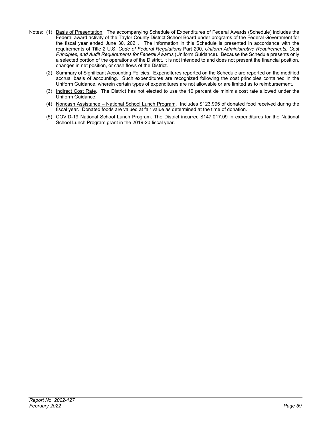- Notes: (1) Basis of Presentation. The accompanying Schedule of Expenditures of Federal Awards (Schedule) includes the Federal award activity of the Taylor County District School Board under programs of the Federal Government for the fiscal year ended June 30, 2021. The information in this Schedule is presented in accordance with the requirements of Title 2 U.S. *Code of Federal Regulations* Part 200, *Uniform Administrative Requirements, Cost Principles, and Audit Requirements for Federal Awards* (Uniform Guidance). Because the Schedule presents only a selected portion of the operations of the District, it is not intended to and does not present the financial position, changes in net position, or cash flows of the District.
	- (2) Summary of Significant Accounting Policies. Expenditures reported on the Schedule are reported on the modified accrual basis of accounting. Such expenditures are recognized following the cost principles contained in the Uniform Guidance, wherein certain types of expenditures are not allowable or are limited as to reimbursement.
	- (3) Indirect Cost Rate. The District has not elected to use the 10 percent de minimis cost rate allowed under the Uniform Guidance.
	- (4) Noncash Assistance National School Lunch Program. Includes \$123,995 of donated food received during the fiscal year. Donated foods are valued at fair value as determined at the time of donation.
	- (5) COVID-19 National School Lunch Program. The District incurred \$147,017.09 in expenditures for the National School Lunch Program grant in the 2019-20 fiscal year.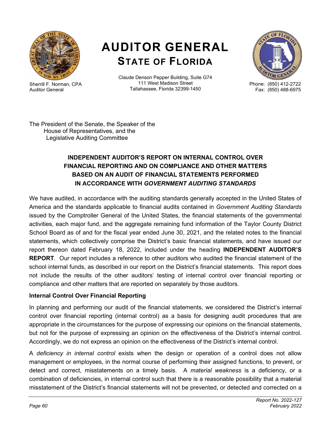

Sherrill F. Norman, CPA Auditor General

# **AUDITOR GENERAL STATE OF FLORIDA**

Claude Denson Pepper Building, Suite G74 111 West Madison Street Tallahassee, Florida 32399-1450



Phone: (850) 412-2722 Fax: (850) 488-6975

The President of the Senate, the Speaker of the House of Representatives, and the Legislative Auditing Committee

## **INDEPENDENT AUDITOR'S REPORT ON INTERNAL CONTROL OVER FINANCIAL REPORTING AND ON COMPLIANCE AND OTHER MATTERS BASED ON AN AUDIT OF FINANCIAL STATEMENTS PERFORMED IN ACCORDANCE WITH** *GOVERNMENT AUDITING STANDARDS*

We have audited, in accordance with the auditing standards generally accepted in the United States of America and the standards applicable to financial audits contained in *Government Auditing Standards* issued by the Comptroller General of the United States, the financial statements of the governmental activities, each major fund, and the aggregate remaining fund information of the Taylor County District School Board as of and for the fiscal year ended June 30, 2021, and the related notes to the financial statements, which collectively comprise the District's basic financial statements, and have issued our report thereon dated February 18, 2022, included under the heading **INDEPENDENT AUDITOR'S REPORT**. Our report includes a reference to other auditors who audited the financial statement of the school internal funds, as described in our report on the District's financial statements. This report does not include the results of the other auditors' testing of internal control over financial reporting or compliance and other matters that are reported on separately by those auditors.

## **Internal Control Over Financial Reporting**

In planning and performing our audit of the financial statements, we considered the District's internal control over financial reporting (internal control) as a basis for designing audit procedures that are appropriate in the circumstances for the purpose of expressing our opinions on the financial statements, but not for the purpose of expressing an opinion on the effectiveness of the District's internal control. Accordingly, we do not express an opinion on the effectiveness of the District's internal control.

A *deficiency in internal control* exists when the design or operation of a control does not allow management or employees, in the normal course of performing their assigned functions, to prevent, or detect and correct, misstatements on a timely basis. A *material weakness* is a deficiency, or a combination of deficiencies, in internal control such that there is a reasonable possibility that a material misstatement of the District's financial statements will not be prevented, or detected and corrected on a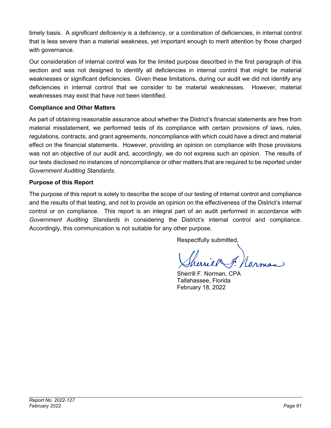timely basis. A *significant deficiency* is a deficiency, or a combination of deficiencies, in internal control that is less severe than a material weakness, yet important enough to merit attention by those charged with governance.

Our consideration of internal control was for the limited purpose described in the first paragraph of this section and was not designed to identify all deficiencies in internal control that might be material weaknesses or significant deficiencies. Given these limitations, during our audit we did not identify any deficiencies in internal control that we consider to be material weaknesses. However, material weaknesses may exist that have not been identified.

#### **Compliance and Other Matters**

As part of obtaining reasonable assurance about whether the District's financial statements are free from material misstatement, we performed tests of its compliance with certain provisions of laws, rules, regulations, contracts, and grant agreements, noncompliance with which could have a direct and material effect on the financial statements. However, providing an opinion on compliance with those provisions was not an objective of our audit and, accordingly, we do not express such an opinion. The results of our tests disclosed no instances of noncompliance or other matters that are required to be reported under *Government Auditing Standards*.

## **Purpose of this Report**

The purpose of this report is solely to describe the scope of our testing of internal control and compliance and the results of that testing, and not to provide an opinion on the effectiveness of the District's internal control or on compliance. This report is an integral part of an audit performed in accordance with *Government Auditing Standards* in considering the District's internal control and compliance. Accordingly, this communication is not suitable for any other purpose.

Respectfully submitted,

Sherrill F. Norman, CPA Tallahassee, Florida February 18, 2022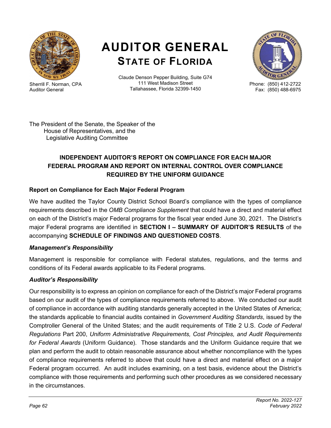

Sherrill F. Norman, CPA Auditor General

# **AUDITOR GENERAL STATE OF FLORIDA**

Claude Denson Pepper Building, Suite G74 111 West Madison Street Tallahassee, Florida 32399-1450



Phone: (850) 412-2722 Fax: (850) 488-6975

The President of the Senate, the Speaker of the House of Representatives, and the Legislative Auditing Committee

## **INDEPENDENT AUDITOR'S REPORT ON COMPLIANCE FOR EACH MAJOR FEDERAL PROGRAM AND REPORT ON INTERNAL CONTROL OVER COMPLIANCE REQUIRED BY THE UNIFORM GUIDANCE**

## **Report on Compliance for Each Major Federal Program**

We have audited the Taylor County District School Board's compliance with the types of compliance requirements described in the *OMB Compliance Supplement* that could have a direct and material effect on each of the District's major Federal programs for the fiscal year ended June 30, 2021. The District's major Federal programs are identified in **SECTION I – SUMMARY OF AUDITOR'S RESULTS** of the accompanying **SCHEDULE OF FINDINGS AND QUESTIONED COSTS**.

#### *Management's Responsibility*

Management is responsible for compliance with Federal statutes, regulations, and the terms and conditions of its Federal awards applicable to its Federal programs.

#### *Auditor's Responsibility*

Our responsibility is to express an opinion on compliance for each of the District's major Federal programs based on our audit of the types of compliance requirements referred to above. We conducted our audit of compliance in accordance with auditing standards generally accepted in the United States of America; the standards applicable to financial audits contained in *Government Auditing Standards*, issued by the Comptroller General of the United States; and the audit requirements of Title 2 U.S. *Code of Federal Regulations* Part 200, *Uniform Administrative Requirements, Cost Principles, and Audit Requirements for Federal Awards* (Uniform Guidance). Those standards and the Uniform Guidance require that we plan and perform the audit to obtain reasonable assurance about whether noncompliance with the types of compliance requirements referred to above that could have a direct and material effect on a major Federal program occurred. An audit includes examining, on a test basis, evidence about the District's compliance with those requirements and performing such other procedures as we considered necessary in the circumstances.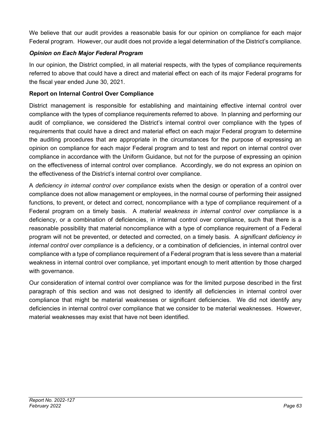We believe that our audit provides a reasonable basis for our opinion on compliance for each major Federal program. However, our audit does not provide a legal determination of the District's compliance.

## *Opinion on Each Major Federal Program*

In our opinion, the District complied, in all material respects, with the types of compliance requirements referred to above that could have a direct and material effect on each of its major Federal programs for the fiscal year ended June 30, 2021.

## **Report on Internal Control Over Compliance**

District management is responsible for establishing and maintaining effective internal control over compliance with the types of compliance requirements referred to above. In planning and performing our audit of compliance, we considered the District's internal control over compliance with the types of requirements that could have a direct and material effect on each major Federal program to determine the auditing procedures that are appropriate in the circumstances for the purpose of expressing an opinion on compliance for each major Federal program and to test and report on internal control over compliance in accordance with the Uniform Guidance, but not for the purpose of expressing an opinion on the effectiveness of internal control over compliance. Accordingly, we do not express an opinion on the effectiveness of the District's internal control over compliance.

A *deficiency in internal control over compliance* exists when the design or operation of a control over compliance does not allow management or employees, in the normal course of performing their assigned functions, to prevent, or detect and correct, noncompliance with a type of compliance requirement of a Federal program on a timely basis. A *material weakness in internal control over compliance* is a deficiency, or a combination of deficiencies, in internal control over compliance, such that there is a reasonable possibility that material noncompliance with a type of compliance requirement of a Federal program will not be prevented, or detected and corrected, on a timely basis. A *significant deficiency in internal control over compliance* is a deficiency, or a combination of deficiencies, in internal control over compliance with a type of compliance requirement of a Federal program that is less severe than a material weakness in internal control over compliance, yet important enough to merit attention by those charged with governance.

Our consideration of internal control over compliance was for the limited purpose described in the first paragraph of this section and was not designed to identify all deficiencies in internal control over compliance that might be material weaknesses or significant deficiencies. We did not identify any deficiencies in internal control over compliance that we consider to be material weaknesses. However, material weaknesses may exist that have not been identified.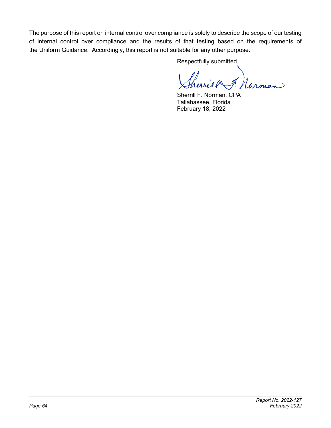The purpose of this report on internal control over compliance is solely to describe the scope of our testing of internal control over compliance and the results of that testing based on the requirements of the Uniform Guidance. Accordingly, this report is not suitable for any other purpose.

Respectfully submitted,

F. Norman

Sherrill F. Norman, CPA Tallahassee, Florida February 18, 2022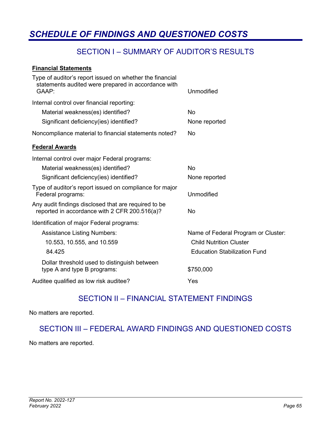# *SCHEDULE OF FINDINGS AND QUESTIONED COSTS*

## SECTION I – SUMMARY OF AUDITOR'S RESULTS

#### **Financial Statements**

| Type of auditor's report issued on whether the financial<br>statements audited were prepared in accordance with<br>GAAP: | Unmodified                                                                                                   |
|--------------------------------------------------------------------------------------------------------------------------|--------------------------------------------------------------------------------------------------------------|
| Internal control over financial reporting:                                                                               |                                                                                                              |
| Material weakness(es) identified?                                                                                        | No                                                                                                           |
| Significant deficiency(ies) identified?                                                                                  | None reported                                                                                                |
| Noncompliance material to financial statements noted?                                                                    | <b>No</b>                                                                                                    |
| <b>Federal Awards</b>                                                                                                    |                                                                                                              |
| Internal control over major Federal programs:                                                                            |                                                                                                              |
| Material weakness(es) identified?                                                                                        | No                                                                                                           |
| Significant deficiency(ies) identified?                                                                                  | None reported                                                                                                |
| Type of auditor's report issued on compliance for major<br>Federal programs:                                             | Unmodified                                                                                                   |
| Any audit findings disclosed that are required to be<br>reported in accordance with 2 CFR 200.516(a)?                    | No                                                                                                           |
| Identification of major Federal programs:                                                                                |                                                                                                              |
| <b>Assistance Listing Numbers:</b><br>10.553, 10.555, and 10.559<br>84.425                                               | Name of Federal Program or Cluster:<br><b>Child Nutrition Cluster</b><br><b>Education Stabilization Fund</b> |
| Dollar threshold used to distinguish between<br>type A and type B programs:                                              | \$750,000                                                                                                    |
| Auditee qualified as low risk auditee?                                                                                   | Yes                                                                                                          |

## SECTION II – FINANCIAL STATEMENT FINDINGS

No matters are reported.

## SECTION III – FEDERAL AWARD FINDINGS AND QUESTIONED COSTS

No matters are reported.